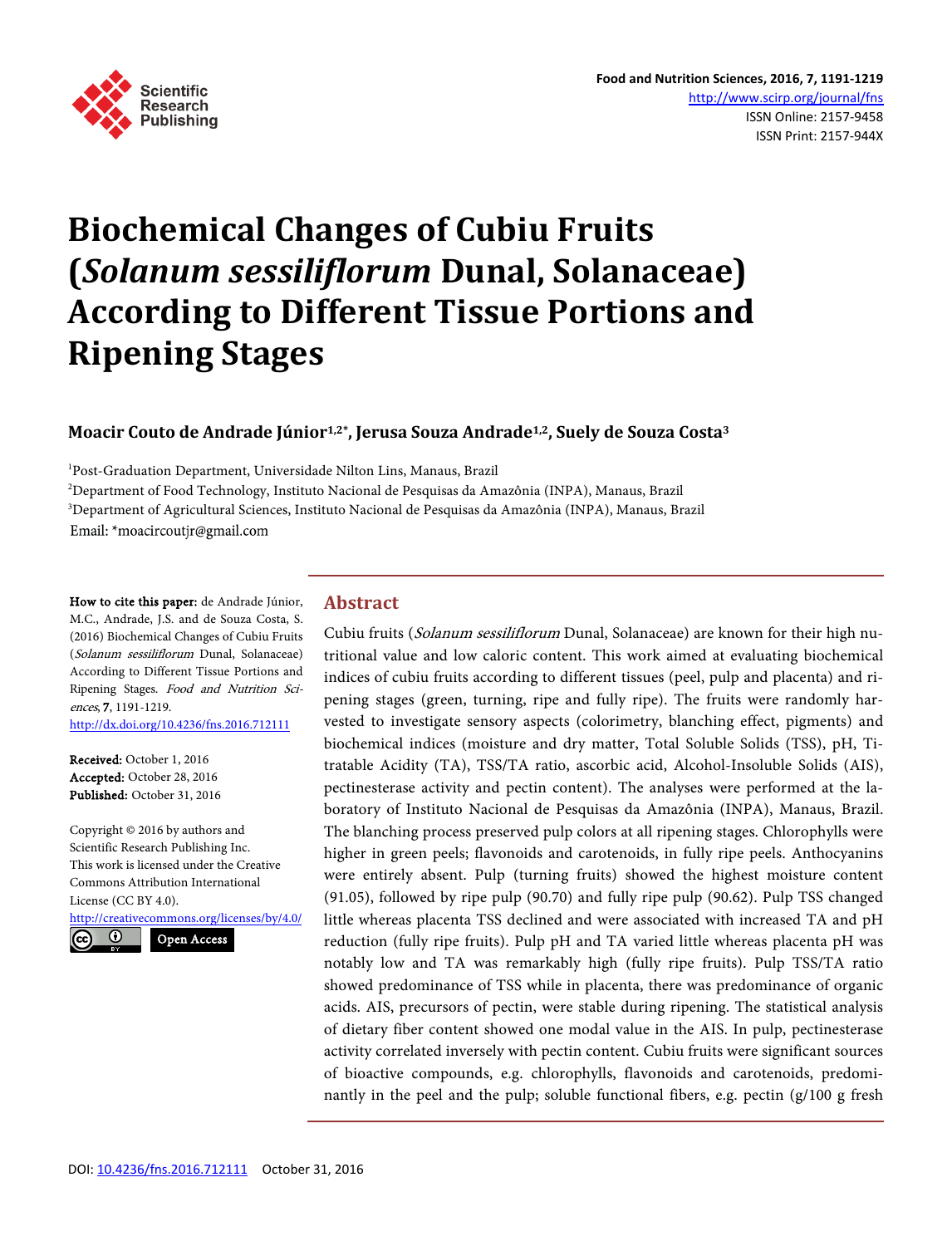

# **Biochemical Changes of Cubiu Fruits (***Solanum sessiliflorum* **Dunal, Solanaceae) According to Different Tissue Portions and Ripening Stages**

# **Moacir Couto de Andrade Júnior1,2\*, Jerusa Souza Andrade1,2, Suely de Souza Costa3**

<sup>1</sup>Post-Graduation Department, Universidade Nilton Lins, Manaus, Brazil 2 Department of Food Technology, Instituto Nacional de Pesquisas da Amazônia (INPA), Manaus, Brazil 3 Department of Agricultural Sciences, Instituto Nacional de Pesquisas da Amazônia (INPA), Manaus, Brazil Email: \*moacircoutjr@gmail.com

How to cite this paper: de Andrade Júnior, M.C., Andrade, J.S. and de Souza Costa, S. (2016) Biochemical Changes of Cubiu Fruits (Solanum sessiliflorum Dunal, Solanaceae) According to Different Tissue Portions and Ripening Stages. Food and Nutrition Sciences, 7, 1191-1219. <http://dx.doi.org/10.4236/fns.2016.712111>

Received: October 1, 2016 Accepted: October 28, 2016 Published: October 31, 2016

Copyright © 2016 by authors and Scientific Research Publishing Inc. This work is licensed under the Creative Commons Attribution International License (CC BY 4.0). <http://creativecommons.org/licenses/by/4.0/>

Open Access

 $\odot$ 

**Abstract**

Cubiu fruits (Solanum sessiliflorum Dunal, Solanaceae) are known for their high nutritional value and low caloric content. This work aimed at evaluating biochemical indices of cubiu fruits according to different tissues (peel, pulp and placenta) and ripening stages (green, turning, ripe and fully ripe). The fruits were randomly harvested to investigate sensory aspects (colorimetry, blanching effect, pigments) and biochemical indices (moisture and dry matter, Total Soluble Solids (TSS), pH, Titratable Acidity (TA), TSS/TA ratio, ascorbic acid, Alcohol-Insoluble Solids (AIS), pectinesterase activity and pectin content). The analyses were performed at the laboratory of Instituto Nacional de Pesquisas da Amazônia (INPA), Manaus, Brazil. The blanching process preserved pulp colors at all ripening stages. Chlorophylls were higher in green peels; flavonoids and carotenoids, in fully ripe peels. Anthocyanins were entirely absent. Pulp (turning fruits) showed the highest moisture content (91.05), followed by ripe pulp (90.70) and fully ripe pulp (90.62). Pulp TSS changed little whereas placenta TSS declined and were associated with increased TA and pH reduction (fully ripe fruits). Pulp pH and TA varied little whereas placenta pH was notably low and TA was remarkably high (fully ripe fruits). Pulp TSS/TA ratio showed predominance of TSS while in placenta, there was predominance of organic acids. AIS, precursors of pectin, were stable during ripening. The statistical analysis of dietary fiber content showed one modal value in the AIS. In pulp, pectinesterase activity correlated inversely with pectin content. Cubiu fruits were significant sources of bioactive compounds, e.g. chlorophylls, flavonoids and carotenoids, predominantly in the peel and the pulp; soluble functional fibers, e.g. pectin (g/100 g fresh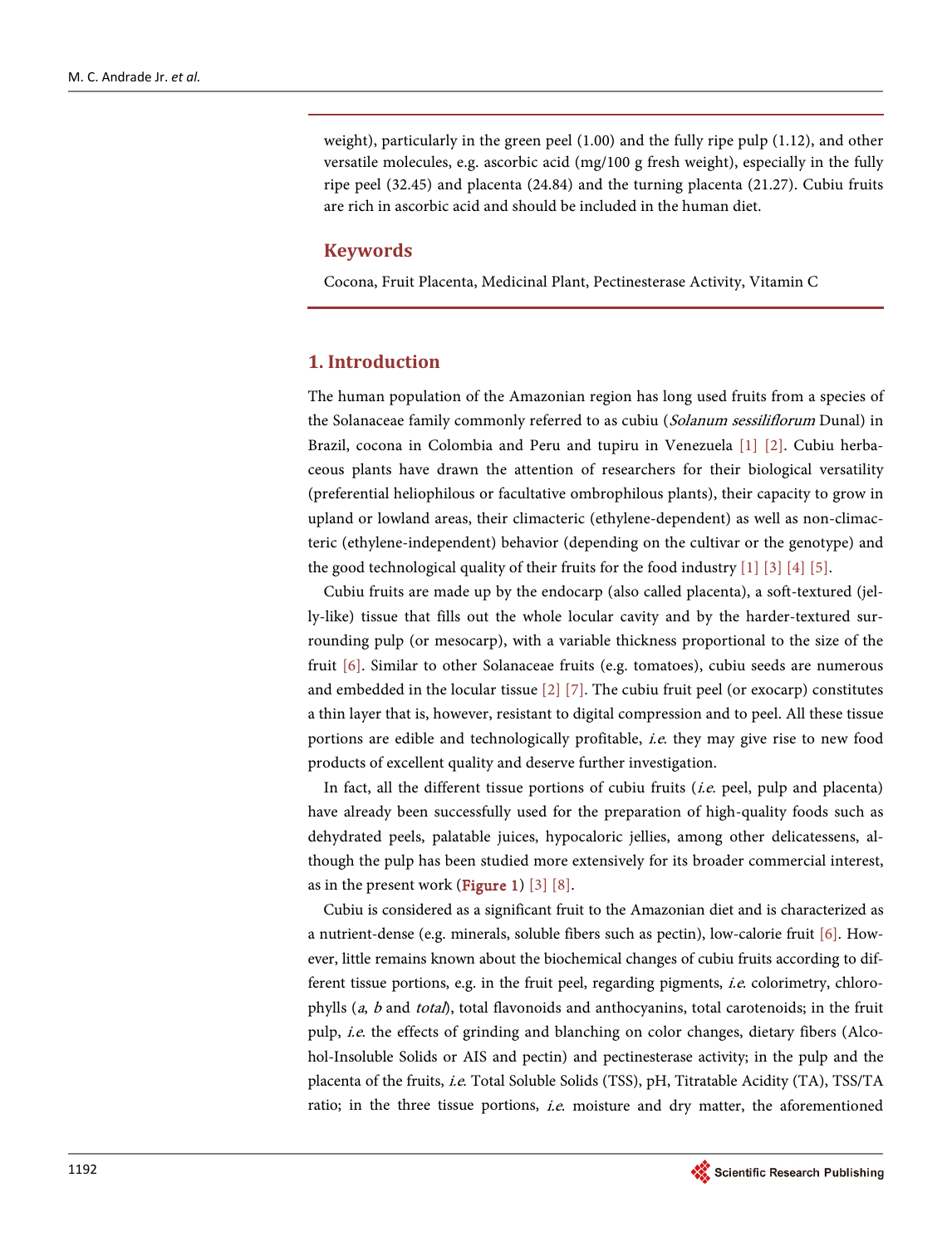weight), particularly in the green peel (1.00) and the fully ripe pulp (1.12), and other versatile molecules, e.g. ascorbic acid (mg/100 g fresh weight), especially in the fully ripe peel (32.45) and placenta (24.84) and the turning placenta (21.27). Cubiu fruits are rich in ascorbic acid and should be included in the human diet.

## **Keywords**

Cocona, Fruit Placenta, Medicinal Plant, Pectinesterase Activity, Vitamin C

# **1. Introduction**

The human population of the Amazonian region has long used fruits from a species of the Solanaceae family commonly referred to as cubiu (Solanum sessiliflorum Dunal) in Brazil, cocona in Colombia and Peru and tupiru in Venezuela [\[1\]](#page-23-0) [\[2\].](#page-23-1) Cubiu herbaceous plants have drawn the attention of researchers for their biological versatility (preferential heliophilous or facultative ombrophilous plants), their capacity to grow in upland or lowland areas, their climacteric (ethylene-dependent) as well as non-climacteric (ethylene-independent) behavior (depending on the cultivar or the genotype) and the good technological quality of their fruits for the food industry [\[1\]](#page-23-0) [\[3\]](#page-23-2) [\[4\]](#page-23-3) [\[5\].](#page-23-4)

Cubiu fruits are made up by the endocarp (also called placenta), a soft-textured (jelly-like) tissue that fills out the whole locular cavity and by the harder-textured surrounding pulp (or mesocarp), with a variable thickness proportional to the size of the fruit [\[6\].](#page-23-5) Similar to other Solanaceae fruits (e.g. tomatoes), cubiu seeds are numerous and embedded in the locular tissue  $[2]$  [\[7\].](#page-23-6) The cubiu fruit peel (or exocarp) constitutes a thin layer that is, however, resistant to digital compression and to peel. All these tissue portions are edible and technologically profitable, *i.e.* they may give rise to new food products of excellent quality and deserve further investigation.

In fact, all the different tissue portions of cubiu fruits  $(i.e.$  peel, pulp and placenta) have already been successfully used for the preparation of high-quality foods such as dehydrated peels, palatable juices, hypocaloric jellies, among other delicatessens, although the pulp has been studied more extensively for its broader commercial interest, as in the present work (**Figure 1**) [\[3\]](#page-23-2) [\[8\].](#page-23-7)

Cubiu is considered as a significant fruit to the Amazonian diet and is characterized as a nutrient-dense (e.g. minerals, soluble fibers such as pectin), low-calorie fruit [\[6\].](#page-23-5) However, little remains known about the biochemical changes of cubiu fruits according to different tissue portions, e.g. in the fruit peel, regarding pigments, i.e. colorimetry, chlorophylls (a, b and total), total flavonoids and anthocyanins, total carotenoids; in the fruit pulp, i.e. the effects of grinding and blanching on color changes, dietary fibers (Alcohol-Insoluble Solids or AIS and pectin) and pectinesterase activity; in the pulp and the placenta of the fruits, i.e. Total Soluble Solids (TSS), pH, Titratable Acidity (TA), TSS/TA ratio; in the three tissue portions, *i.e.* moisture and dry matter, the aforementioned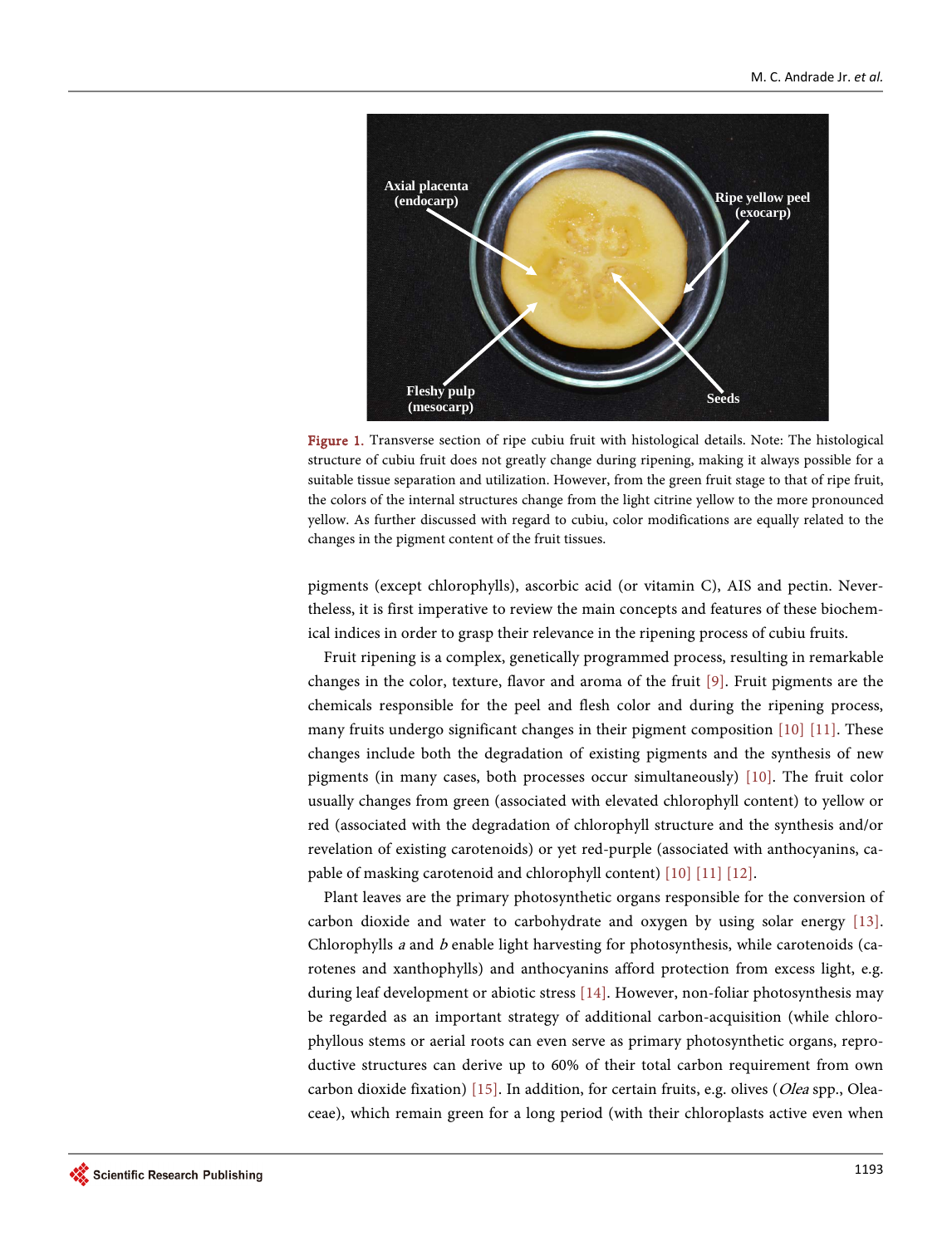<span id="page-2-0"></span>

Figure 1. Transverse section of ripe cubiu fruit with histological details. Note: The histological structure of cubiu fruit does not greatly change during ripening, making it always possible for a suitable tissue separation and utilization. However, from the green fruit stage to that of ripe fruit, the colors of the internal structures change from the light citrine yellow to the more pronounced yellow. As further discussed with regard to cubiu, color modifications are equally related to the changes in the pigment content of the fruit tissues.

pigments (except chlorophylls), ascorbic acid (or vitamin C), AIS and pectin. Nevertheless, it is first imperative to review the main concepts and features of these biochemical indices in order to grasp their relevance in the ripening process of cubiu fruits.

Fruit ripening is a complex, genetically programmed process, resulting in remarkable changes in the color, texture, flavor and aroma of the fruit [\[9\].](#page-23-8) Fruit pigments are the chemicals responsible for the peel and flesh color and during the ripening process, many fruits undergo significant changes in their pigment composition [\[10\]](#page-23-9) [\[11\].](#page-23-10) These changes include both the degradation of existing pigments and the synthesis of new pigments (in many cases, both processes occur simultaneously) [\[10\].](#page-23-9) The fruit color usually changes from green (associated with elevated chlorophyll content) to yellow or red (associated with the degradation of chlorophyll structure and the synthesis and/or revelation of existing carotenoids) or yet red-purple (associated with anthocyanins, capable of masking carotenoid and chlorophyll content) [\[10\]](#page-23-9) [\[11\]](#page-23-10) [\[12\].](#page-23-11)

Plant leaves are the primary photosynthetic organs responsible for the conversion of carbon dioxide and water to carbohydrate and oxygen by using solar energy [\[13\].](#page-23-12)  Chlorophylls a and b enable light harvesting for photosynthesis, while carotenoids (carotenes and xanthophylls) and anthocyanins afford protection from excess light, e.g. during leaf development or abiotic stress [\[14\].](#page-23-13) However, non-foliar photosynthesis may be regarded as an important strategy of additional carbon-acquisition (while chlorophyllous stems or aerial roots can even serve as primary photosynthetic organs, reproductive structures can derive up to 60% of their total carbon requirement from own carbon dioxide fixation) [\[15\].](#page-24-0) In addition, for certain fruits, e.g. olives (Olea spp., Oleaceae), which remain green for a long period (with their chloroplasts active even when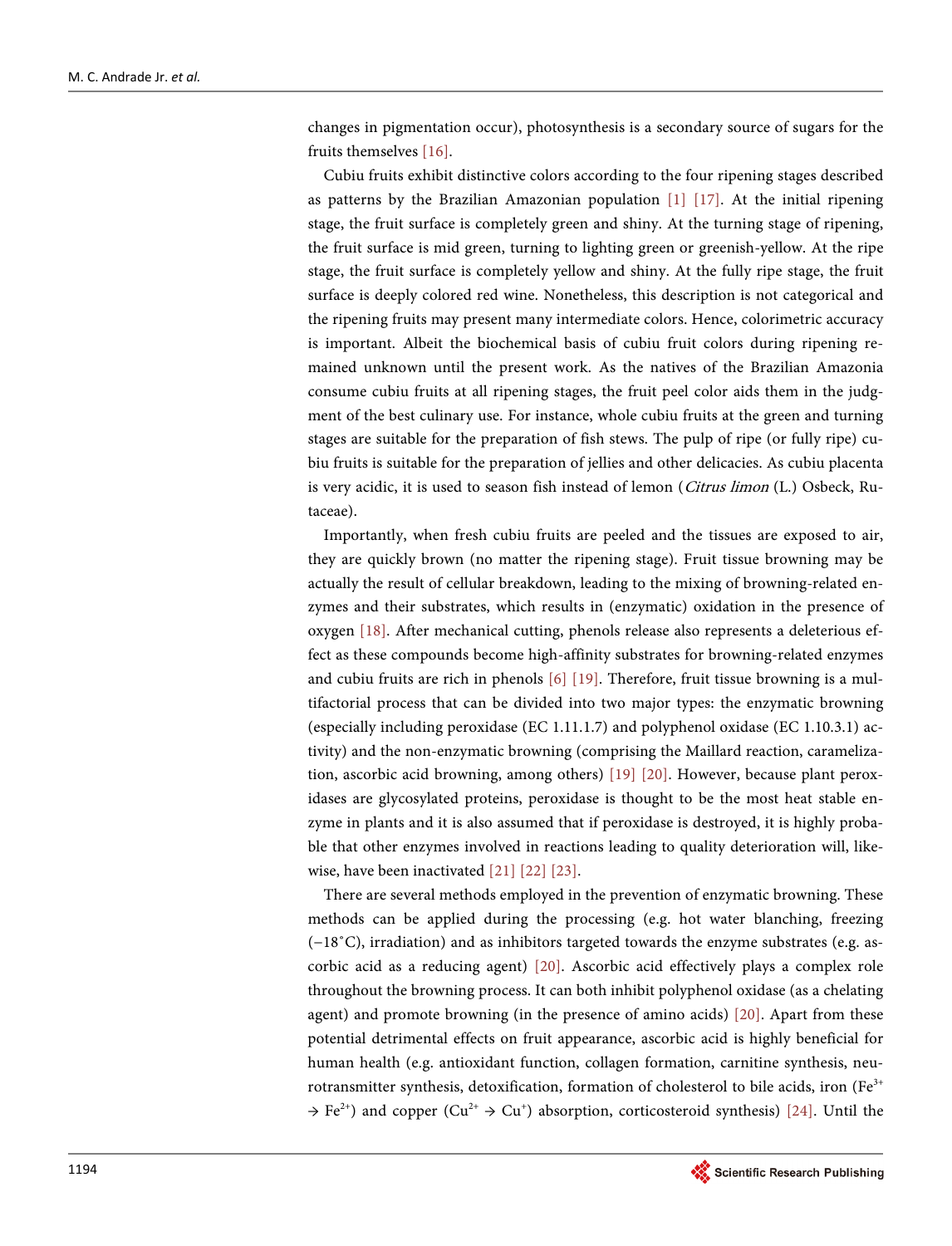changes in pigmentation occur), photosynthesis is a secondary source of sugars for the fruits themselves [\[16\].](#page-24-1)

Cubiu fruits exhibit distinctive colors according to the four ripening stages described as patterns by the Brazilian Amazonian population [\[1\]](#page-23-0) [\[17\].](#page-24-2) At the initial ripening stage, the fruit surface is completely green and shiny. At the turning stage of ripening, the fruit surface is mid green, turning to lighting green or greenish-yellow. At the ripe stage, the fruit surface is completely yellow and shiny. At the fully ripe stage, the fruit surface is deeply colored red wine. Nonetheless, this description is not categorical and the ripening fruits may present many intermediate colors. Hence, colorimetric accuracy is important. Albeit the biochemical basis of cubiu fruit colors during ripening remained unknown until the present work. As the natives of the Brazilian Amazonia consume cubiu fruits at all ripening stages, the fruit peel color aids them in the judgment of the best culinary use. For instance, whole cubiu fruits at the green and turning stages are suitable for the preparation of fish stews. The pulp of ripe (or fully ripe) cubiu fruits is suitable for the preparation of jellies and other delicacies. As cubiu placenta is very acidic, it is used to season fish instead of lemon (Citrus limon (L.) Osbeck, Rutaceae).

Importantly, when fresh cubiu fruits are peeled and the tissues are exposed to air, they are quickly brown (no matter the ripening stage). Fruit tissue browning may be actually the result of cellular breakdown, leading to the mixing of browning-related enzymes and their substrates, which results in (enzymatic) oxidation in the presence of oxygen [\[18\].](#page-24-3) After mechanical cutting, phenols release also represents a deleterious effect as these compounds become high-affinity substrates for browning-related enzymes and cubiu fruits are rich in phenols [\[6\]](#page-23-5) [\[19\].](#page-24-4) Therefore, fruit tissue browning is a multifactorial process that can be divided into two major types: the enzymatic browning (especially including peroxidase (EC 1.11.1.7) and polyphenol oxidase (EC 1.10.3.1) activity) and the non-enzymatic browning (comprising the Maillard reaction, caramelization, ascorbic acid browning, among others) [\[19\]](#page-24-4) [\[20\].](#page-24-5) However, because plant peroxidases are glycosylated proteins, peroxidase is thought to be the most heat stable enzyme in plants and it is also assumed that if peroxidase is destroyed, it is highly probable that other enzymes involved in reactions leading to quality deterioration will, likewise, have been inactivated [\[21\]](#page-24-6) [\[22\]](#page-24-7) [\[23\].](#page-24-8)

There are several methods employed in the prevention of enzymatic browning. These methods can be applied during the processing (e.g. hot water blanching, freezing (−18˚C), irradiation) and as inhibitors targeted towards the enzyme substrates (e.g. ascorbic acid as a reducing agent) [\[20\].](#page-24-5) Ascorbic acid effectively plays a complex role throughout the browning process. It can both inhibit polyphenol oxidase (as a chelating agent) and promote browning (in the presence of amino acids) [\[20\].](#page-24-5) Apart from these potential detrimental effects on fruit appearance, ascorbic acid is highly beneficial for human health (e.g. antioxidant function, collagen formation, carnitine synthesis, neurotransmitter synthesis, detoxification, formation of cholesterol to bile acids, iron (Fe $3+$  $\rightarrow$  Fe<sup>2+</sup>) and copper (Cu<sup>2+</sup>  $\rightarrow$  Cu<sup>+</sup>) absorption, corticosteroid synthesis) [\[24\].](#page-24-9) Until the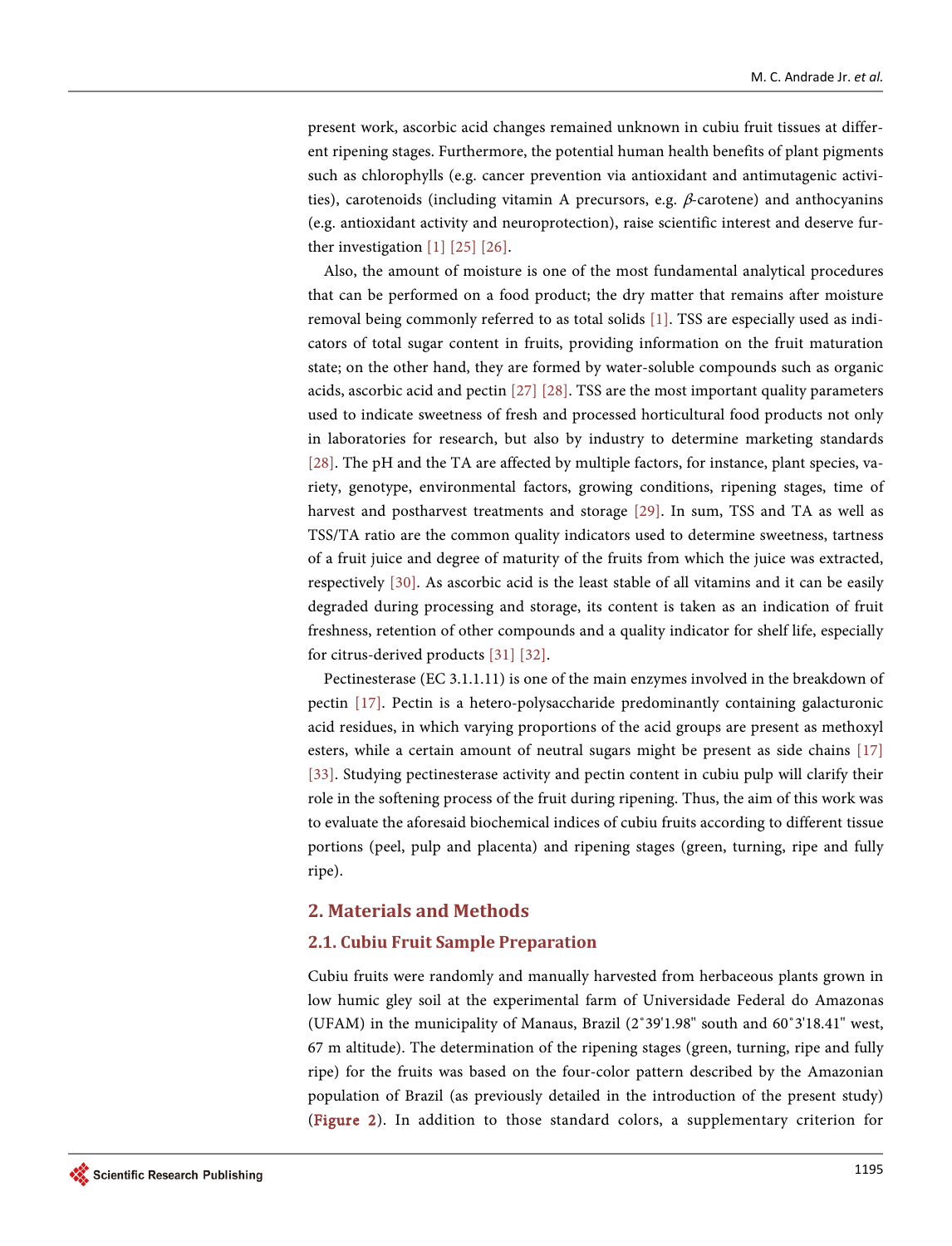present work, ascorbic acid changes remained unknown in cubiu fruit tissues at different ripening stages. Furthermore, the potential human health benefits of plant pigments such as chlorophylls (e.g. cancer prevention via antioxidant and antimutagenic activities), carotenoids (including vitamin A precursors, e.g.  $\beta$ -carotene) and anthocyanins (e.g. antioxidant activity and neuroprotection), raise scientific interest and deserve further investigation [\[1\]](#page-23-0) [\[25\]](#page-24-10) [\[26\].](#page-24-11)

Also, the amount of moisture is one of the most fundamental analytical procedures that can be performed on a food product; the dry matter that remains after moisture removal being commonly referred to as total solids [\[1\].](#page-23-0) TSS are especially used as indicators of total sugar content in fruits, providing information on the fruit maturation state; on the other hand, they are formed by water-soluble compounds such as organic acids, ascorbic acid and pecti[n \[27\]](#page-24-12) [\[28\].](#page-24-13) TSS are the most important quality parameters used to indicate sweetness of fresh and processed horticultural food products not only in laboratories for research, but also by industry to determine marketing standards [\[28\].](#page-24-13) The pH and the TA are affected by multiple factors, for instance, plant species, variety, genotype, environmental factors, growing conditions, ripening stages, time of harvest and postharvest treatments and storage [\[29\].](#page-24-14) In sum, TSS and TA as well as TSS/TA ratio are the common quality indicators used to determine sweetness, tartness of a fruit juice and degree of maturity of the fruits from which the juice was extracted, respectively [\[30\].](#page-25-0) As ascorbic acid is the least stable of all vitamins and it can be easily degraded during processing and storage, its content is taken as an indication of fruit freshness, retention of other compounds and a quality indicator for shelf life, especially for citrus-derived product[s \[31\]](#page-25-1) [\[32\].](#page-25-2)

Pectinesterase (EC 3.1.1.11) is one of the main enzymes involved in the breakdown of pectin [\[17\].](#page-24-2) Pectin is a hetero-polysaccharide predominantly containing galacturonic acid residues, in which varying proportions of the acid groups are present as methoxyl esters, while a certain amount of neutral sugars might be present as side chains [\[17\]](#page-24-2) [\[33\].](#page-25-3) Studying pectinesterase activity and pectin content in cubiu pulp will clarify their role in the softening process of the fruit during ripening. Thus, the aim of this work was to evaluate the aforesaid biochemical indices of cubiu fruits according to different tissue portions (peel, pulp and placenta) and ripening stages (green, turning, ripe and fully ripe).

## **2. Materials and Methods**

# **2.1. Cubiu Fruit Sample Preparation**

Cubiu fruits were randomly and manually harvested from herbaceous plants grown in low humic gley soil at the experimental farm of Universidade Federal do Amazonas (UFAM) in the municipality of Manaus, Brazil (2˚39'1.98" south and 60˚3'18.41" west, 67 m altitude). The determination of the ripening stages (green, turning, ripe and fully ripe) for the fruits was based on the four-color pattern described by the Amazonian population of Brazil (as previously detailed in the introduction of the present study) [\(Figure 2\)](#page-5-0). In addition to those standard colors, a supplementary criterion for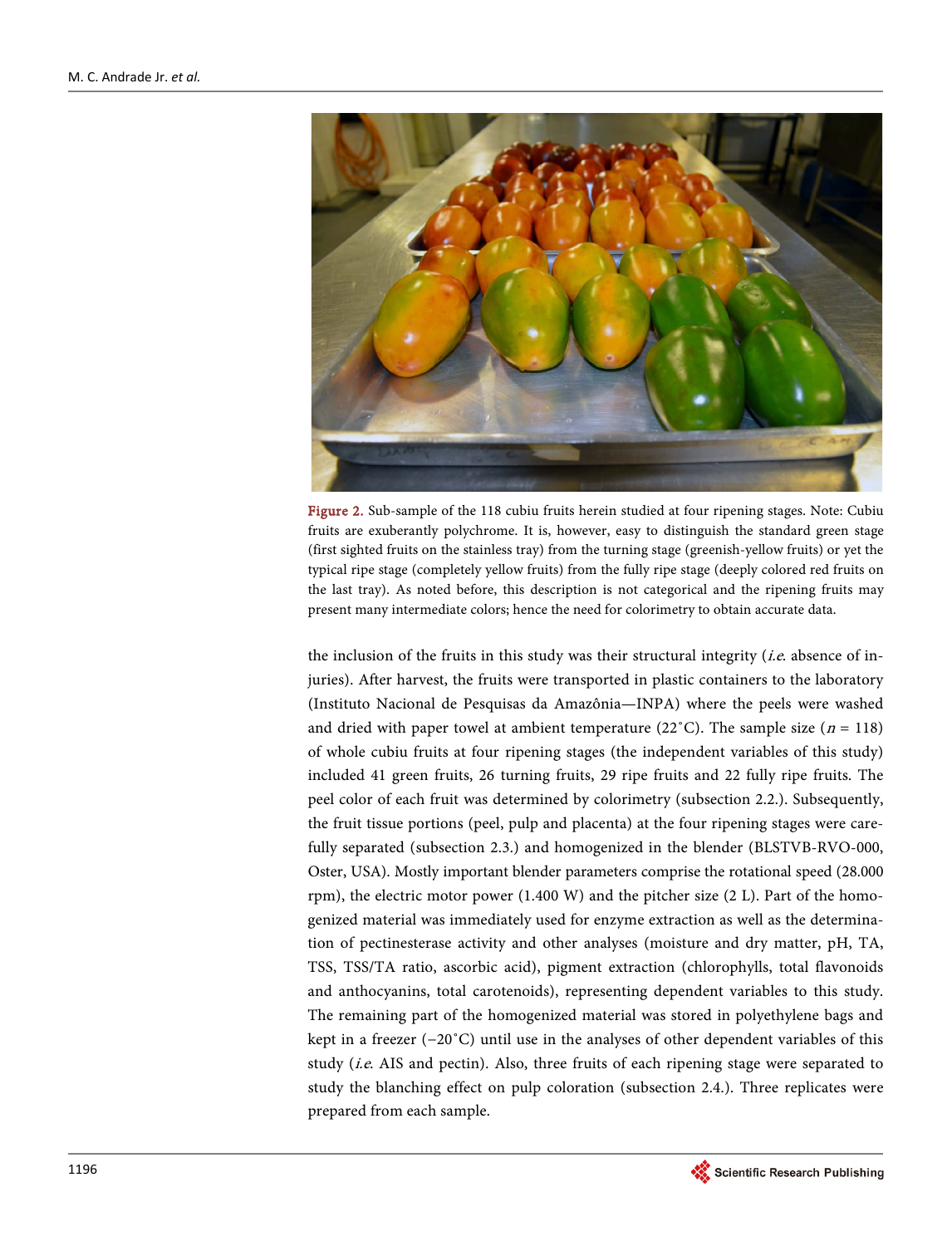<span id="page-5-0"></span>

Figure 2. Sub-sample of the 118 cubiu fruits herein studied at four ripening stages. Note: Cubiu fruits are exuberantly polychrome. It is, however, easy to distinguish the standard green stage (first sighted fruits on the stainless tray) from the turning stage (greenish-yellow fruits) or yet the typical ripe stage (completely yellow fruits) from the fully ripe stage (deeply colored red fruits on the last tray). As noted before, this description is not categorical and the ripening fruits may present many intermediate colors; hence the need for colorimetry to obtain accurate data.

the inclusion of the fruits in this study was their structural integrity (*i.e.* absence of injuries). After harvest, the fruits were transported in plastic containers to the laboratory (Instituto Nacional de Pesquisas da Amazônia—INPA) where the peels were washed and dried with paper towel at ambient temperature (22<sup> $\degree$ </sup>C). The sample size (*n* = 118) of whole cubiu fruits at four ripening stages (the independent variables of this study) included 41 green fruits, 26 turning fruits, 29 ripe fruits and 22 fully ripe fruits. The peel color of each fruit was determined by colorimetry (subsection 2.2.). Subsequently, the fruit tissue portions (peel, pulp and placenta) at the four ripening stages were carefully separated (subsection 2.3.) and homogenized in the blender (BLSTVB-RVO-000, Oster, USA). Mostly important blender parameters comprise the rotational speed (28.000 rpm), the electric motor power (1.400 W) and the pitcher size (2 L). Part of the homogenized material was immediately used for enzyme extraction as well as the determination of pectinesterase activity and other analyses (moisture and dry matter, pH, TA, TSS, TSS/TA ratio, ascorbic acid), pigment extraction (chlorophylls, total flavonoids and anthocyanins, total carotenoids), representing dependent variables to this study. The remaining part of the homogenized material was stored in polyethylene bags and kept in a freezer (−20˚C) until use in the analyses of other dependent variables of this study (*i.e.* AIS and pectin). Also, three fruits of each ripening stage were separated to study the blanching effect on pulp coloration (subsection 2.4.). Three replicates were prepared from each sample.

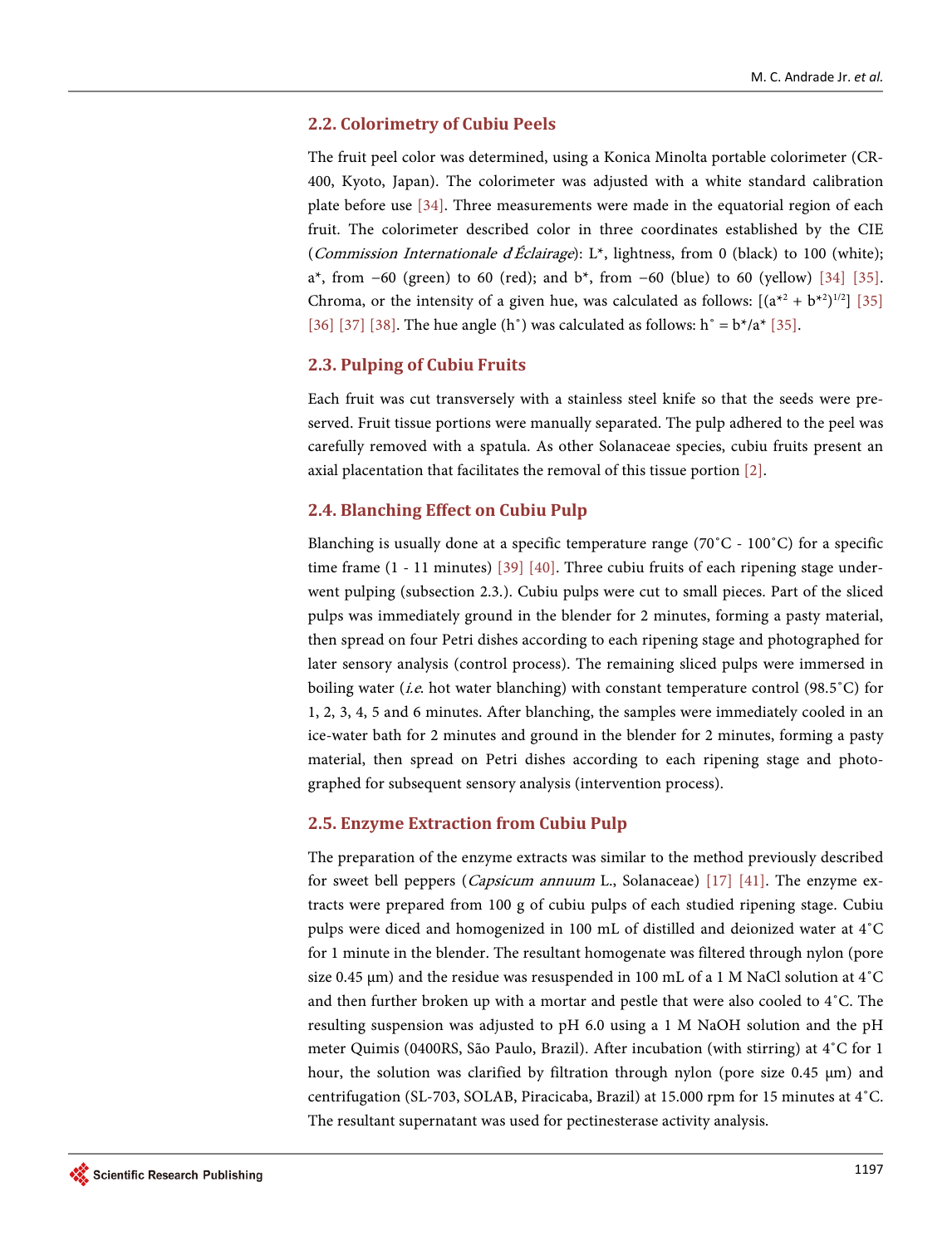# **2.2. Colorimetry of Cubiu Peels**

The fruit peel color was determined, using a Konica Minolta portable colorimeter (CR-400, Kyoto, Japan). The colorimeter was adjusted with a white standard calibration plate before use [\[34\].](#page-25-4) Three measurements were made in the equatorial region of each fruit. The colorimeter described color in three coordinates established by the CIE (*Commission Internationale d'Éclairage*): L<sup>\*</sup>, lightness, from 0 (black) to 100 (white); a<sup>\*</sup>, from  $-60$  (green) to 60 (red); and b<sup>\*</sup>, from  $-60$  (blue) to 60 (yellow) [\[34\]](#page-25-4) [35]. Chroma, or the intensity of a given hue, was calculated as follows:  $[(a^{*2} + b^{*2})^{1/2}]$  [\[35\]](#page-25-5) [\[36\]](#page-25-6) [\[37\]](#page-25-7) [\[38\].](#page-25-8) The hue angle (h<sup>o</sup>) was calculated as follows: h<sup>o</sup> =  $b*/a*$  [35].

# **2.3. Pulping of Cubiu Fruits**

Each fruit was cut transversely with a stainless steel knife so that the seeds were preserved. Fruit tissue portions were manually separated. The pulp adhered to the peel was carefully removed with a spatula. As other Solanaceae species, cubiu fruits present an axial placentation that facilitates the removal of this tissue portion [\[2\].](#page-23-1)

# **2.4. Blanching Effect on Cubiu Pulp**

Blanching is usually done at a specific temperature range ( $70^{\circ}$ C -  $100^{\circ}$ C) for a specific time frame (1 - 11 minutes) [\[39\]](#page-25-9) [\[40\].](#page-25-10) Three cubiu fruits of each ripening stage underwent pulping (subsection 2.3.). Cubiu pulps were cut to small pieces. Part of the sliced pulps was immediately ground in the blender for 2 minutes, forming a pasty material, then spread on four Petri dishes according to each ripening stage and photographed for later sensory analysis (control process). The remaining sliced pulps were immersed in boiling water (*i.e.* hot water blanching) with constant temperature control (98.5°C) for 1, 2, 3, 4, 5 and 6 minutes. After blanching, the samples were immediately cooled in an ice-water bath for 2 minutes and ground in the blender for 2 minutes, forming a pasty material, then spread on Petri dishes according to each ripening stage and photographed for subsequent sensory analysis (intervention process).

# **2.5. Enzyme Extraction from Cubiu Pulp**

The preparation of the enzyme extracts was similar to the method previously described for sweet bell peppers (*Capsicum annuum* L., Solanaceae) [\[17\]](#page-24-2) [\[41\].](#page-25-11) The enzyme extracts were prepared from 100 g of cubiu pulps of each studied ripening stage. Cubiu pulps were diced and homogenized in 100 mL of distilled and deionized water at 4˚C for 1 minute in the blender. The resultant homogenate was filtered through nylon (pore size 0.45  $\mu$ m) and the residue was resuspended in 100 mL of a 1 M NaCl solution at 4 $^{\circ}$ C and then further broken up with a mortar and pestle that were also cooled to  $4^{\circ}$ C. The resulting suspension was adjusted to pH 6.0 using a 1 M NaOH solution and the pH meter Quimis (0400RS, São Paulo, Brazil). After incubation (with stirring) at 4˚C for 1 hour, the solution was clarified by filtration through nylon (pore size 0.45 μm) and centrifugation (SL-703, SOLAB, Piracicaba, Brazil) at 15.000 rpm for 15 minutes at 4˚C. The resultant supernatant was used for pectinesterase activity analysis.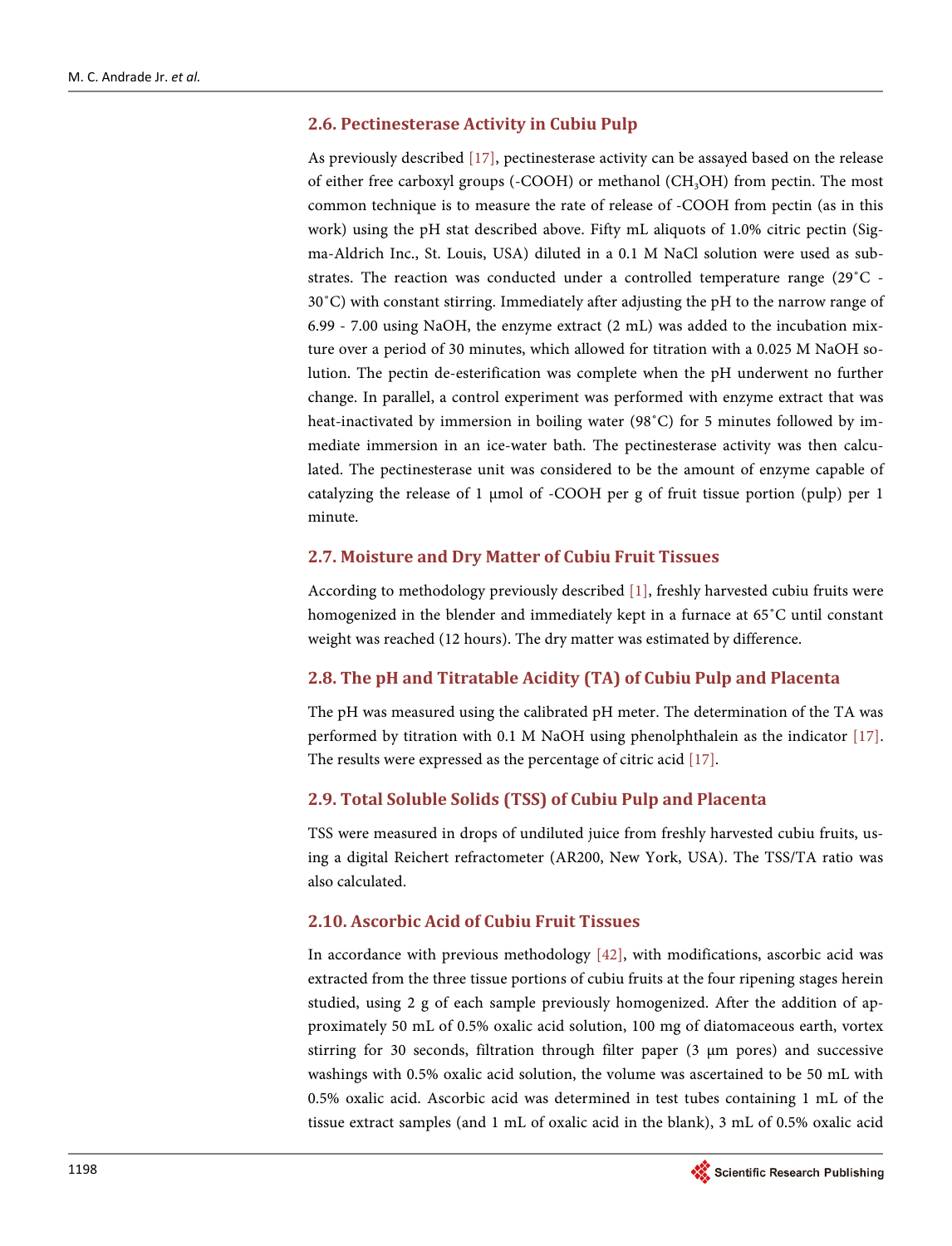# **2.6. Pectinesterase Activity in Cubiu Pulp**

As previously described [\[17\],](#page-24-2) pectinesterase activity can be assayed based on the release of either free carboxyl groups  $(-COOH)$  or methanol  $(CH<sub>3</sub>OH)$  from pectin. The most common technique is to measure the rate of release of -COOH from pectin (as in this work) using the pH stat described above. Fifty mL aliquots of 1.0% citric pectin (Sigma-Aldrich Inc., St. Louis, USA) diluted in a 0.1 M NaCl solution were used as substrates. The reaction was conducted under a controlled temperature range (29˚C - 30˚C) with constant stirring. Immediately after adjusting the pH to the narrow range of 6.99 - 7.00 using NaOH, the enzyme extract (2 mL) was added to the incubation mixture over a period of 30 minutes, which allowed for titration with a 0.025 M NaOH solution. The pectin de-esterification was complete when the pH underwent no further change. In parallel, a control experiment was performed with enzyme extract that was heat-inactivated by immersion in boiling water (98˚C) for 5 minutes followed by immediate immersion in an ice-water bath. The pectinesterase activity was then calculated. The pectinesterase unit was considered to be the amount of enzyme capable of catalyzing the release of 1 μmol of -COOH per g of fruit tissue portion (pulp) per 1 minute.

# **2.7. Moisture and Dry Matter of Cubiu Fruit Tissues**

According to methodology previously described [\[1\],](#page-23-0) freshly harvested cubiu fruits were homogenized in the blender and immediately kept in a furnace at 65˚C until constant weight was reached (12 hours). The dry matter was estimated by difference.

# **2.8. The pH and Titratable Acidity (TA) of Cubiu Pulp and Placenta**

The pH was measured using the calibrated pH meter. The determination of the TA was performed by titration with 0.1 M NaOH using phenolphthalein as the indicator [\[17\].](#page-24-2)  The results were expressed as the percentage of citric aci[d \[17\].](#page-24-2)

# **2.9. Total Soluble Solids (TSS) of Cubiu Pulp and Placenta**

TSS were measured in drops of undiluted juice from freshly harvested cubiu fruits, using a digital Reichert refractometer (AR200, New York, USA). The TSS/TA ratio was also calculated.

# **2.10. Ascorbic Acid of Cubiu Fruit Tissues**

In accordance with previous methodology [\[42\],](#page-25-12) with modifications, ascorbic acid was extracted from the three tissue portions of cubiu fruits at the four ripening stages herein studied, using 2 g of each sample previously homogenized. After the addition of approximately 50 mL of 0.5% oxalic acid solution, 100 mg of diatomaceous earth, vortex stirring for 30 seconds, filtration through filter paper (3 µm pores) and successive washings with 0.5% oxalic acid solution, the volume was ascertained to be 50 mL with 0.5% oxalic acid. Ascorbic acid was determined in test tubes containing 1 mL of the tissue extract samples (and 1 mL of oxalic acid in the blank), 3 mL of 0.5% oxalic acid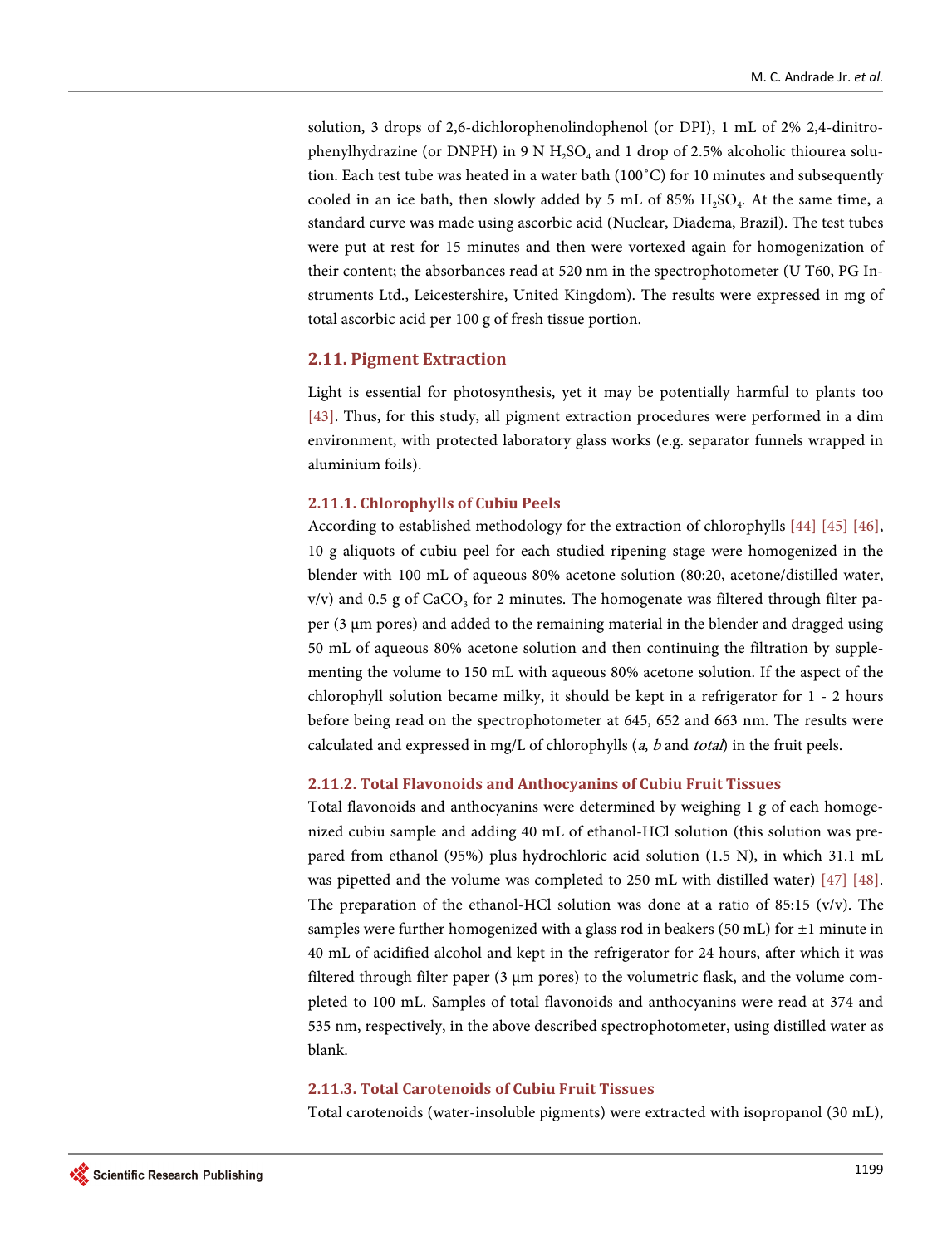solution, 3 drops of 2,6-dichlorophenolindophenol (or DPI), 1 mL of 2% 2,4-dinitrophenylhydrazine (or DNPH) in 9 N  $H_2SO_4$  and 1 drop of 2.5% alcoholic thiourea solution. Each test tube was heated in a water bath (100˚C) for 10 minutes and subsequently cooled in an ice bath, then slowly added by 5 mL of 85%  $H_2SO_4$ . At the same time, a standard curve was made using ascorbic acid (Nuclear, Diadema, Brazil). The test tubes were put at rest for 15 minutes and then were vortexed again for homogenization of their content; the absorbances read at 520 nm in the spectrophotometer (U T60, PG Instruments Ltd., Leicestershire, United Kingdom). The results were expressed in mg of total ascorbic acid per 100 g of fresh tissue portion.

## **2.11. Pigment Extraction**

Light is essential for photosynthesis, yet it may be potentially harmful to plants too [\[43\].](#page-25-13) Thus, for this study, all pigment extraction procedures were performed in a dim environment, with protected laboratory glass works (e.g. separator funnels wrapped in aluminium foils).

## **2.11.1. Chlorophylls of Cubiu Peels**

According to established methodology for the extraction of chlorophylls [\[44\]](#page-25-14) [\[45\]](#page-25-15) [\[46\],](#page-25-16)  10 g aliquots of cubiu peel for each studied ripening stage were homogenized in the blender with 100 mL of aqueous 80% acetone solution (80:20, acetone/distilled water,  $v/v$ ) and 0.5 g of CaCO<sub>3</sub> for 2 minutes. The homogenate was filtered through filter paper (3 µm pores) and added to the remaining material in the blender and dragged using 50 mL of aqueous 80% acetone solution and then continuing the filtration by supplementing the volume to 150 mL with aqueous 80% acetone solution. If the aspect of the chlorophyll solution became milky, it should be kept in a refrigerator for 1 - 2 hours before being read on the spectrophotometer at 645, 652 and 663 nm. The results were calculated and expressed in mg/L of chlorophylls  $(a, b \text{ and } total)$  in the fruit peels.

#### **2.11.2. Total Flavonoids and Anthocyanins of Cubiu Fruit Tissues**

Total flavonoids and anthocyanins were determined by weighing 1 g of each homogenized cubiu sample and adding 40 mL of ethanol-HCl solution (this solution was prepared from ethanol (95%) plus hydrochloric acid solution (1.5 N), in which 31.1 mL was pipetted and the volume was completed to 250 mL with distilled water) [\[47\]](#page-26-0) [\[48\].](#page-26-1)  The preparation of the ethanol-HCl solution was done at a ratio of 85:15 ( $v/v$ ). The samples were further homogenized with a glass rod in beakers (50 mL) for  $\pm 1$  minute in 40 mL of acidified alcohol and kept in the refrigerator for 24 hours, after which it was filtered through filter paper (3  $\mu$ m pores) to the volumetric flask, and the volume completed to 100 mL. Samples of total flavonoids and anthocyanins were read at 374 and 535 nm, respectively, in the above described spectrophotometer, using distilled water as blank.

## **2.11.3. Total Carotenoids of Cubiu Fruit Tissues**

Total carotenoids (water-insoluble pigments) were extracted with isopropanol (30 mL),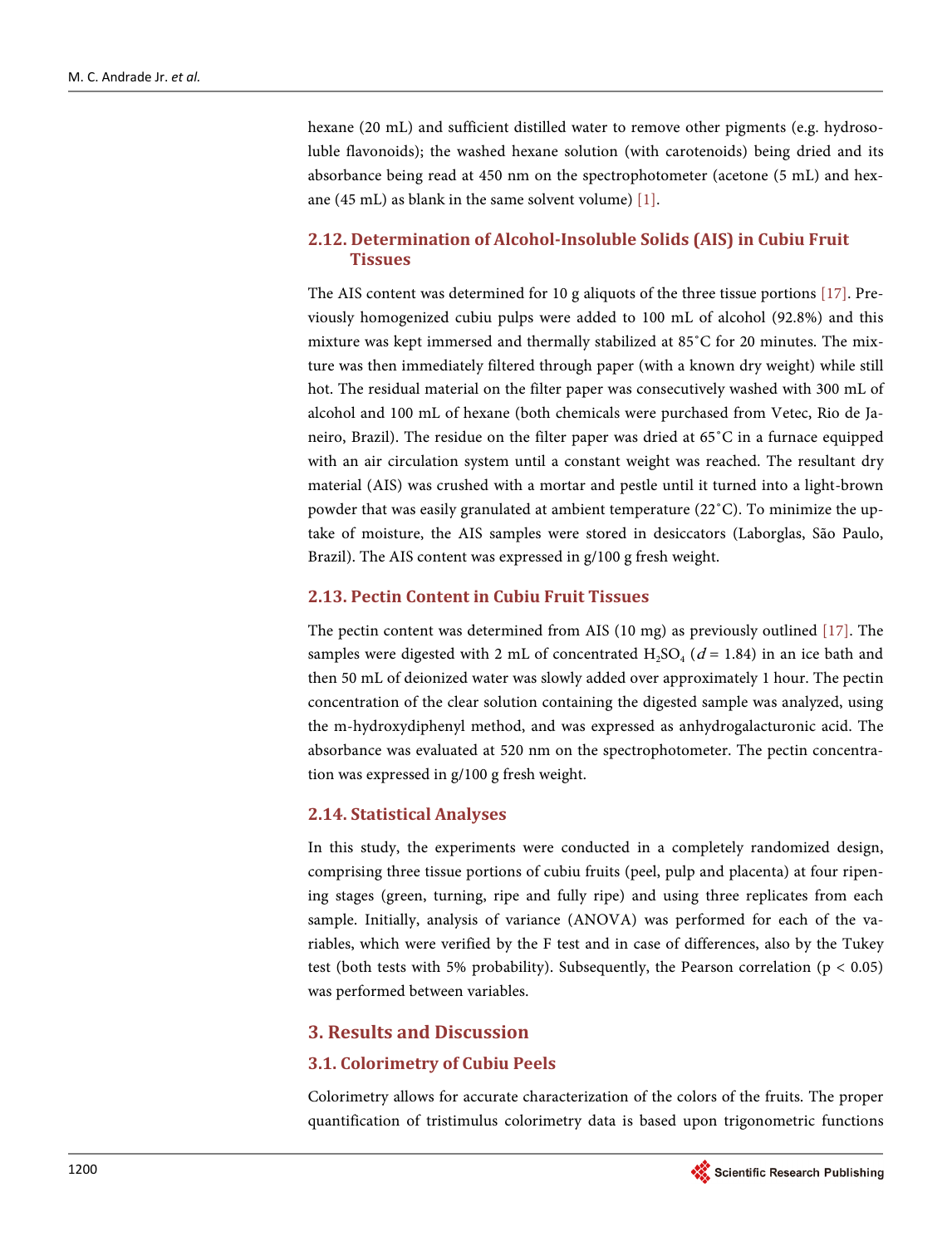hexane (20 mL) and sufficient distilled water to remove other pigments (e.g. hydrosoluble flavonoids); the washed hexane solution (with carotenoids) being dried and its absorbance being read at 450 nm on the spectrophotometer (acetone (5 mL) and hexane (45 mL) as blank in the same solvent volume[\) \[1\].](#page-23-0)

# **2.12. Determination of Alcohol-Insoluble Solids (AIS) in Cubiu Fruit Tissues**

The AIS content was determined for 10 g aliquots of the three tissue portions [\[17\].](#page-24-2) Previously homogenized cubiu pulps were added to 100 mL of alcohol (92.8%) and this mixture was kept immersed and thermally stabilized at 85˚C for 20 minutes. The mixture was then immediately filtered through paper (with a known dry weight) while still hot. The residual material on the filter paper was consecutively washed with 300 mL of alcohol and 100 mL of hexane (both chemicals were purchased from Vetec, Rio de Janeiro, Brazil). The residue on the filter paper was dried at 65˚C in a furnace equipped with an air circulation system until a constant weight was reached. The resultant dry material (AIS) was crushed with a mortar and pestle until it turned into a light-brown powder that was easily granulated at ambient temperature (22˚C). To minimize the uptake of moisture, the AIS samples were stored in desiccators (Laborglas, São Paulo, Brazil). The AIS content was expressed in g/100 g fresh weight.

#### **2.13. Pectin Content in Cubiu Fruit Tissues**

The pectin content was determined from AIS (10 mg) as previously outlined [\[17\].](#page-24-2) The samples were digested with 2 mL of concentrated  $H_2SO_4$  ( $d = 1.84$ ) in an ice bath and then 50 mL of deionized water was slowly added over approximately 1 hour. The pectin concentration of the clear solution containing the digested sample was analyzed, using the m-hydroxydiphenyl method, and was expressed as anhydrogalacturonic acid. The absorbance was evaluated at 520 nm on the spectrophotometer. The pectin concentration was expressed in g/100 g fresh weight.

## **2.14. Statistical Analyses**

In this study, the experiments were conducted in a completely randomized design, comprising three tissue portions of cubiu fruits (peel, pulp and placenta) at four ripening stages (green, turning, ripe and fully ripe) and using three replicates from each sample. Initially, analysis of variance (ANOVA) was performed for each of the variables, which were verified by the F test and in case of differences, also by the Tukey test (both tests with 5% probability). Subsequently, the Pearson correlation ( $p < 0.05$ ) was performed between variables.

## **3. Results and Discussion**

## **3.1. Colorimetry of Cubiu Peels**

Colorimetry allows for accurate characterization of the colors of the fruits. The proper quantification of tristimulus colorimetry data is based upon trigonometric functions

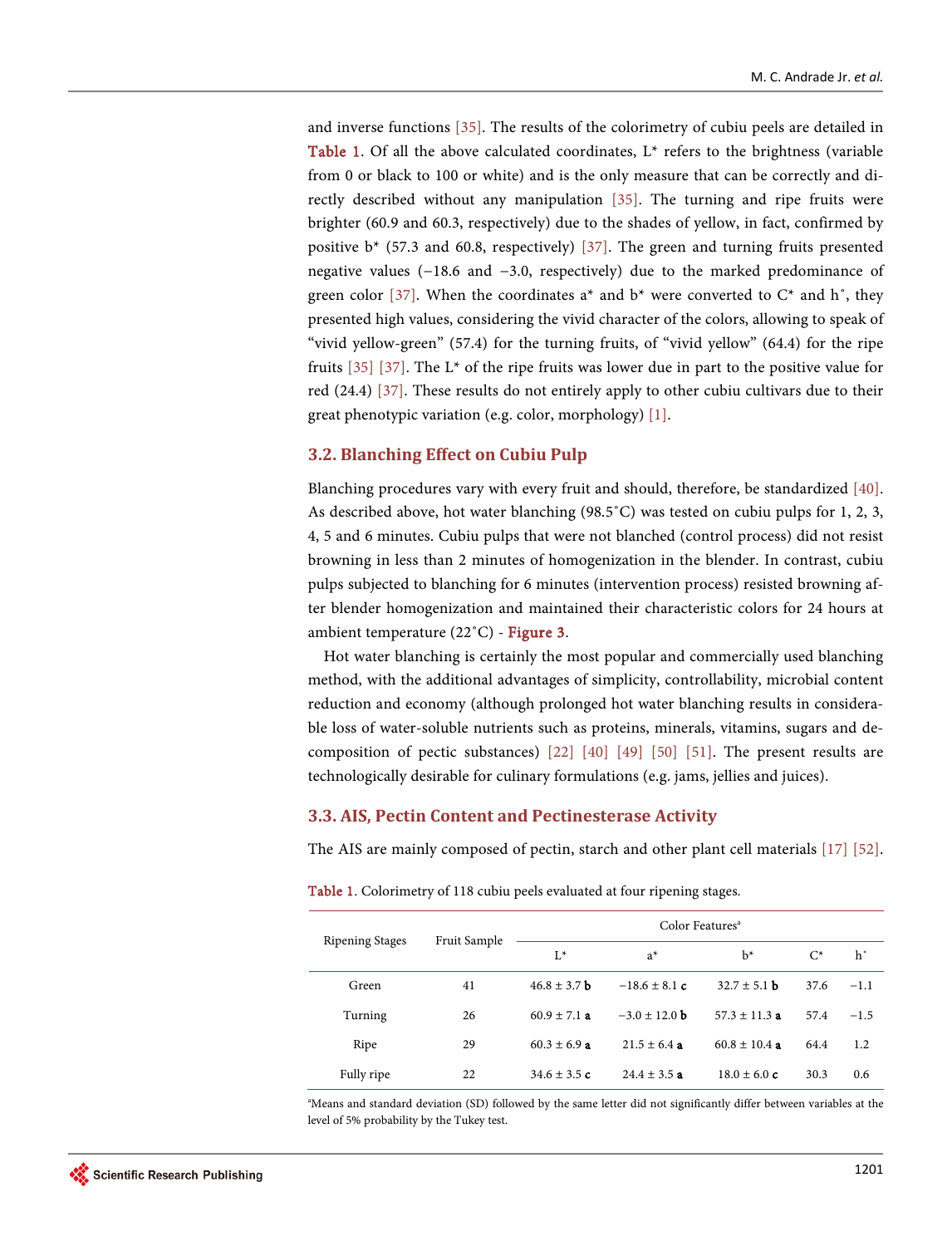and inverse functions [\[35\].](#page-25-5) The results of the colorimetry of cubiu peels are detailed in **[Table 1.](#page-10-0)** Of all the above calculated coordinates,  $L^*$  refers to the brightness (variable from 0 or black to 100 or white) and is the only measure that can be correctly and directly described without any manipulation [\[35\].](#page-25-5) The turning and ripe fruits were brighter (60.9 and 60.3, respectively) due to the shades of yellow, in fact, confirmed by positive b\* (57.3 and 60.8, respectively) [\[37\].](#page-25-7) The green and turning fruits presented negative values (−18.6 and −3.0, respectively) due to the marked predominance of green color [\[37\].](#page-25-7) When the coordinates  $a^*$  and  $b^*$  were converted to  $C^*$  and  $h^*$ , they presented high values, considering the vivid character of the colors, allowing to speak of "vivid yellow-green" (57.4) for the turning fruits, of "vivid yellow" (64.4) for the ripe fruits  $[35]$   $[37]$ . The L<sup>\*</sup> of the ripe fruits was lower due in part to the positive value for red (24.4) [\[37\].](#page-25-7) These results do not entirely apply to other cubiu cultivars due to their great phenotypic variation (e.g. color, morphology[\) \[1\].](#page-23-0)

## **3.2. Blanching Effect on Cubiu Pulp**

Blanching procedures vary with every fruit and should, therefore, be standardized [\[40\].](#page-25-10)  As described above, hot water blanching (98.5˚C) was tested on cubiu pulps for 1, 2, 3, 4, 5 and 6 minutes. Cubiu pulps that were not blanched (control process) did not resist browning in less than 2 minutes of homogenization in the blender. In contrast, cubiu pulps subjected to blanching for 6 minutes (intervention process) resisted browning after blender homogenization and maintained their characteristic colors for 24 hours at ambient temperature (22˚C) - [Figure 3.](#page-11-0)

Hot water blanching is certainly the most popular and commercially used blanching method, with the additional advantages of simplicity, controllability, microbial content reduction and economy (although prolonged hot water blanching results in considerable loss of water-soluble nutrients such as proteins, minerals, vitamins, sugars and decomposition of pectic substances) [\[22\]](#page-24-7) [\[40\]](#page-25-10) [\[49\]](#page-26-2) [\[50\]](#page-26-3) [\[51\].](#page-26-4) The present results are technologically desirable for culinary formulations (e.g. jams, jellies and juices).

## **3.3. AIS, Pectin Content and Pectinesterase Activity**

The AIS are mainly composed of pectin, starch and other plant cell materials [\[17\]](#page-24-2) [\[52\].](#page-26-5) 

| <b>Ripening Stages</b> | Fruit Sample | Color Features <sup>a</sup> |                   |                   |       |             |
|------------------------|--------------|-----------------------------|-------------------|-------------------|-------|-------------|
|                        |              | $L^*$                       | $a^*$             | $h^*$             | $C^*$ | $h^{\circ}$ |
| Green                  | 41           | $46.8 \pm 3.7$ b            | $-18.6 \pm 8.1 c$ | $32.7 \pm 5.1$ b  | 37.6  | $-1.1$      |
| Turning                | 26           | $60.9 \pm 7.1$ a            | $-3.0 \pm 12.0$ b | $57.3 \pm 11.3$ a | 57.4  | $-1.5$      |
| Ripe                   | 29           | $60.3 \pm 6.9$ a            | $21.5 \pm 6.4$ a  | $60.8 \pm 10.4$ a | 64.4  | 1.2         |
| Fully ripe             | 22           | 34.6 $\pm$ 3.5 c            | $24.4 \pm 3.5$ a  | $18.0 \pm 6.0 c$  | 30.3  | 0.6         |

<span id="page-10-0"></span>Table 1. Colorimetry of 118 cubiu peels evaluated at four ripening stages.

a Means and standard deviation (SD) followed by the same letter did not significantly differ between variables at the level of 5% probability by the Tukey test.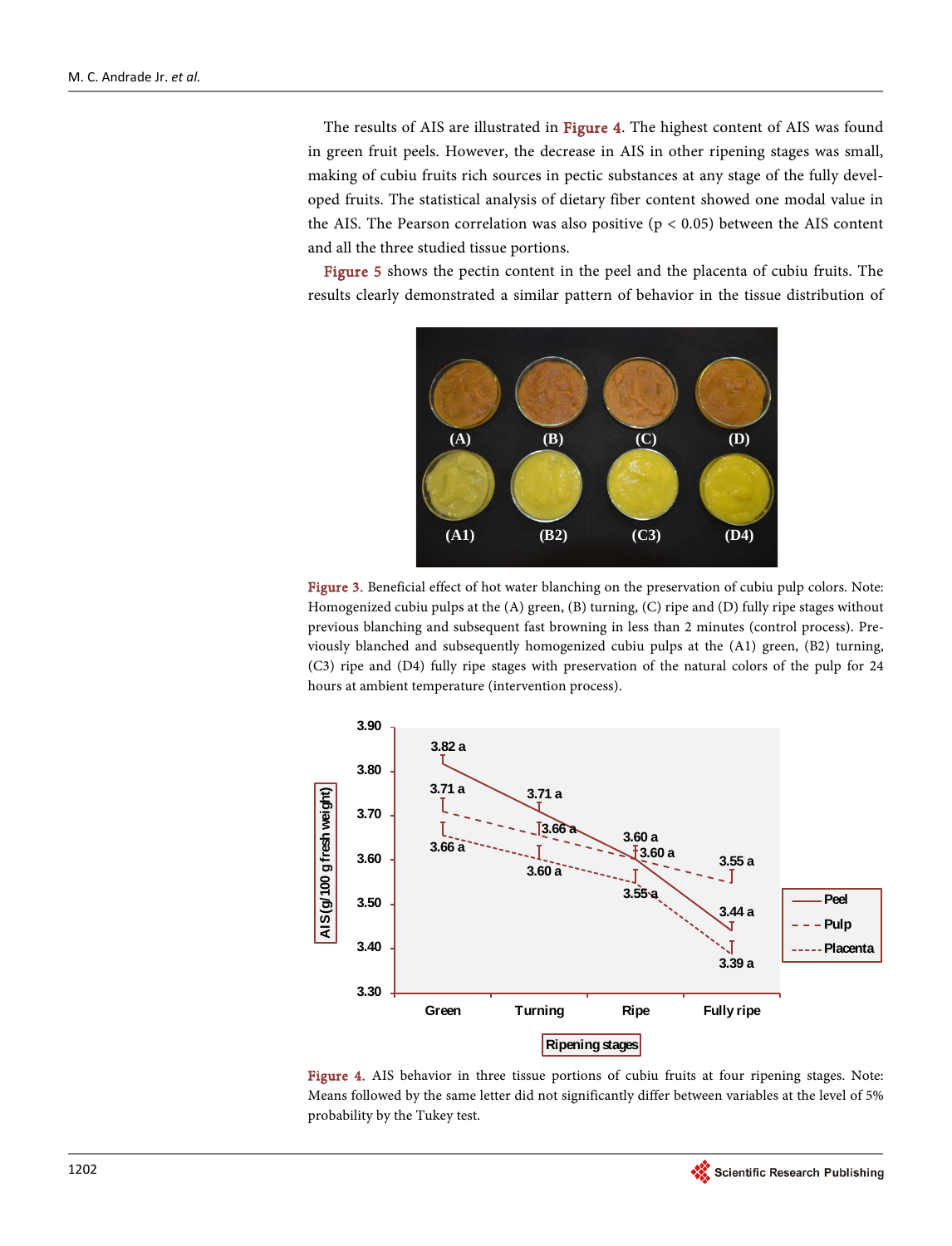The results of AIS are illustrated in [Figure 4.](#page-11-1) The highest content of AIS was found in green fruit peels. However, the decrease in AIS in other ripening stages was small, making of cubiu fruits rich sources in pectic substances at any stage of the fully developed fruits. The statistical analysis of dietary fiber content showed one modal value in the AIS. The Pearson correlation was also positive ( $p < 0.05$ ) between the AIS content and all the three studied tissue portions.

<span id="page-11-0"></span>[Figure 5](#page-12-0) shows the pectin content in the peel and the placenta of cubiu fruits. The results clearly demonstrated a similar pattern of behavior in the tissue distribution of



Figure 3. Beneficial effect of hot water blanching on the preservation of cubiu pulp colors. Note: Homogenized cubiu pulps at the (A) green, (B) turning, (C) ripe and (D) fully ripe stages without previous blanching and subsequent fast browning in less than 2 minutes (control process). Previously blanched and subsequently homogenized cubiu pulps at the (A1) green, (B2) turning, (C3) ripe and (D4) fully ripe stages with preservation of the natural colors of the pulp for 24 hours at ambient temperature (intervention process).

<span id="page-11-1"></span>

Figure 4. AIS behavior in three tissue portions of cubiu fruits at four ripening stages. Note: Means followed by the same letter did not significantly differ between variables at the level of 5% probability by the Tukey test.

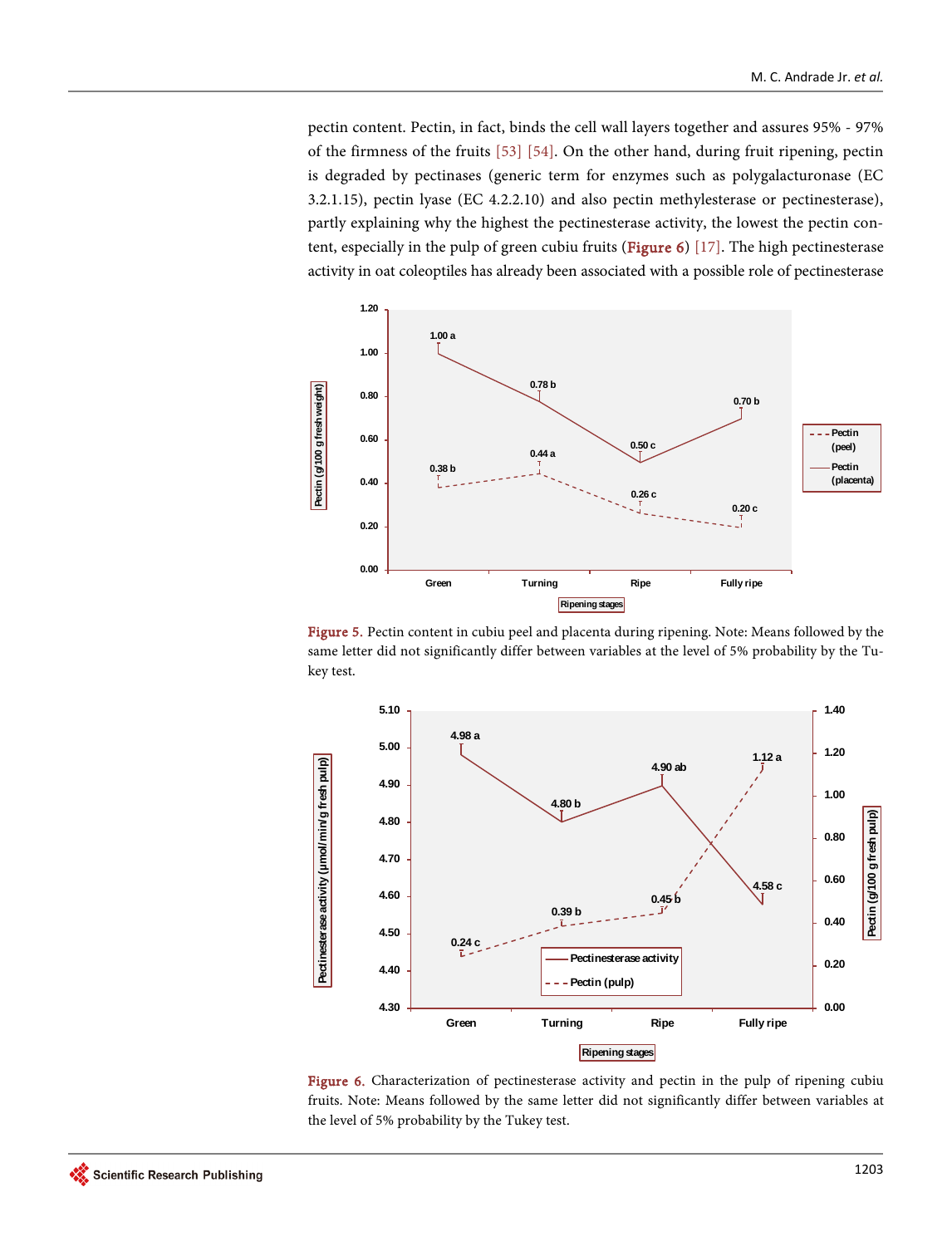pectin content. Pectin, in fact, binds the cell wall layers together and assures 95% - 97% of the firmness of the fruits [\[53\]](#page-26-6) [\[54\].](#page-26-7) On the other hand, during fruit ripening, pectin is degraded by pectinases (generic term for enzymes such as polygalacturonase (EC 3.2.1.15), pectin lyase (EC 4.2.2.10) and also pectin methylesterase or pectinesterase), partly explaining why the highest the pectinesterase activity, the lowest the pectin content, especially in the pulp of green cubiu fruits [\(Figure 6\)](#page-12-1) [\[17\].](#page-24-2) The high pectinesterase activity in oat coleoptiles has already been associated with a possible role of pectinesterase

<span id="page-12-0"></span>

Figure 5. Pectin content in cubiu peel and placenta during ripening. Note: Means followed by the same letter did not significantly differ between variables at the level of 5% probability by the Tukey test.

<span id="page-12-1"></span>

Figure 6. Characterization of pectinesterase activity and pectin in the pulp of ripening cubiu fruits. Note: Means followed by the same letter did not significantly differ between variables at the level of 5% probability by the Tukey test.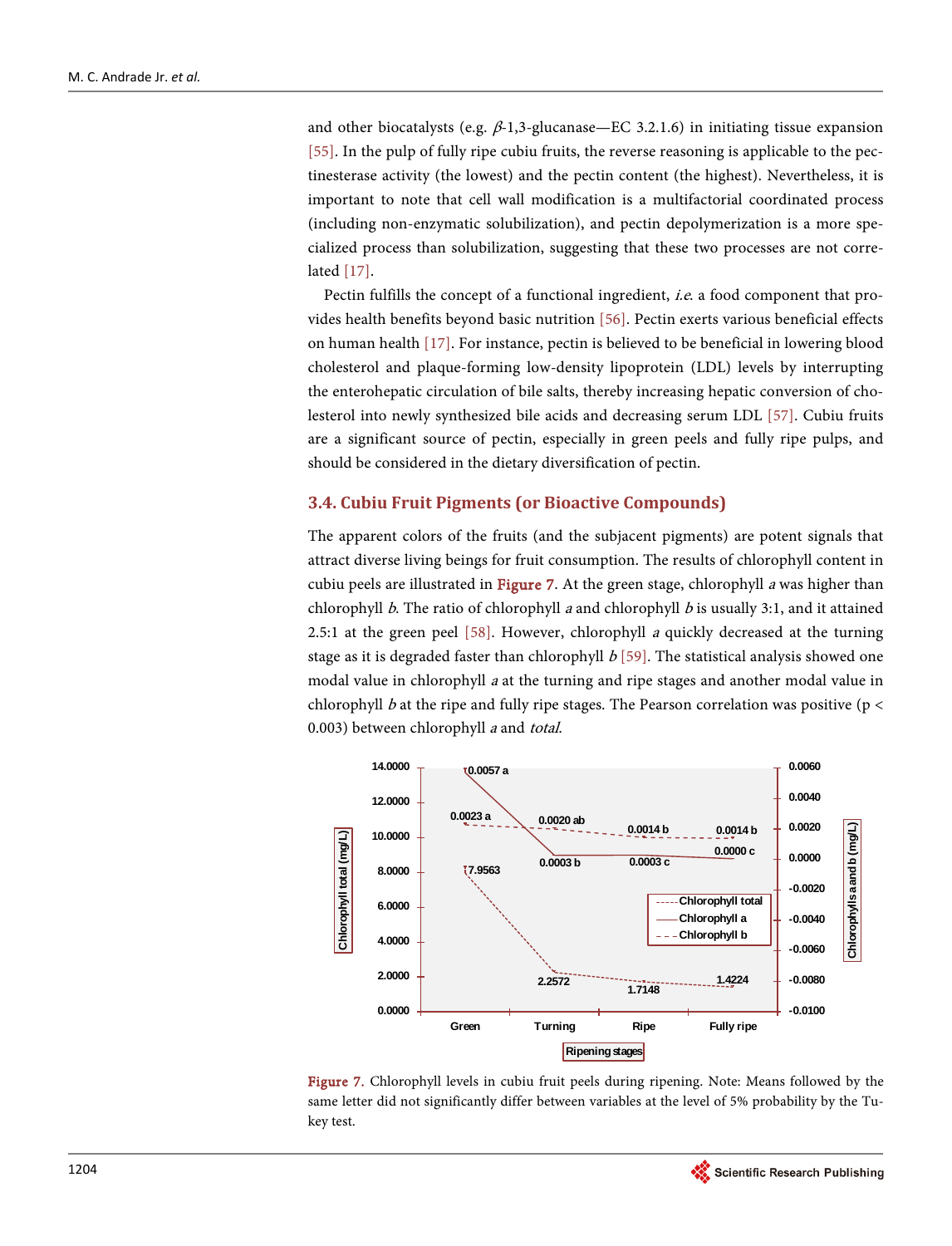and other biocatalysts (e.g.  $\beta$ -1,3-glucanase—EC 3.2.1.6) in initiating tissue expansion [\[55\].](#page-26-8) In the pulp of fully ripe cubiu fruits, the reverse reasoning is applicable to the pectinesterase activity (the lowest) and the pectin content (the highest). Nevertheless, it is important to note that cell wall modification is a multifactorial coordinated process (including non-enzymatic solubilization), and pectin depolymerization is a more specialized process than solubilization, suggesting that these two processes are not correlated [\[17\].](#page-24-2)

Pectin fulfills the concept of a functional ingredient, *i.e.* a food component that provides health benefits beyond basic nutrition [\[56\].](#page-26-9) Pectin exerts various beneficial effects on human health [\[17\].](#page-24-2) For instance, pectin is believed to be beneficial in lowering blood cholesterol and plaque-forming low-density lipoprotein (LDL) levels by interrupting the enterohepatic circulation of bile salts, thereby increasing hepatic conversion of cholesterol into newly synthesized bile acids and decreasing serum LDL [\[57\].](#page-26-10) Cubiu fruits are a significant source of pectin, especially in green peels and fully ripe pulps, and should be considered in the dietary diversification of pectin.

## **3.4. Cubiu Fruit Pigments (or Bioactive Compounds)**

The apparent colors of the fruits (and the subjacent pigments) are potent signals that attract diverse living beings for fruit consumption. The results of chlorophyll content in cubiu peels are illustrated in [Figure 7.](#page-13-0) At the green stage, chlorophyll  $\alpha$  was higher than chlorophyll b. The ratio of chlorophyll a and chlorophyll b is usually 3:1, and it attained 2.5:1 at the green peel  $[58]$ . However, chlorophyll *a* quickly decreased at the turning stage as it is degraded faster than chlorophyll  $b$  [\[59\].](#page-26-12) The statistical analysis showed one modal value in chlorophyll <sup>a</sup> at the turning and ripe stages and another modal value in chlorophyll b at the ripe and fully ripe stages. The Pearson correlation was positive ( $p <$ 0.003) between chlorophyll *a* and total.

<span id="page-13-0"></span>

Figure 7. Chlorophyll levels in cubiu fruit peels during ripening. Note: Means followed by the same letter did not significantly differ between variables at the level of 5% probability by the Tukey test.

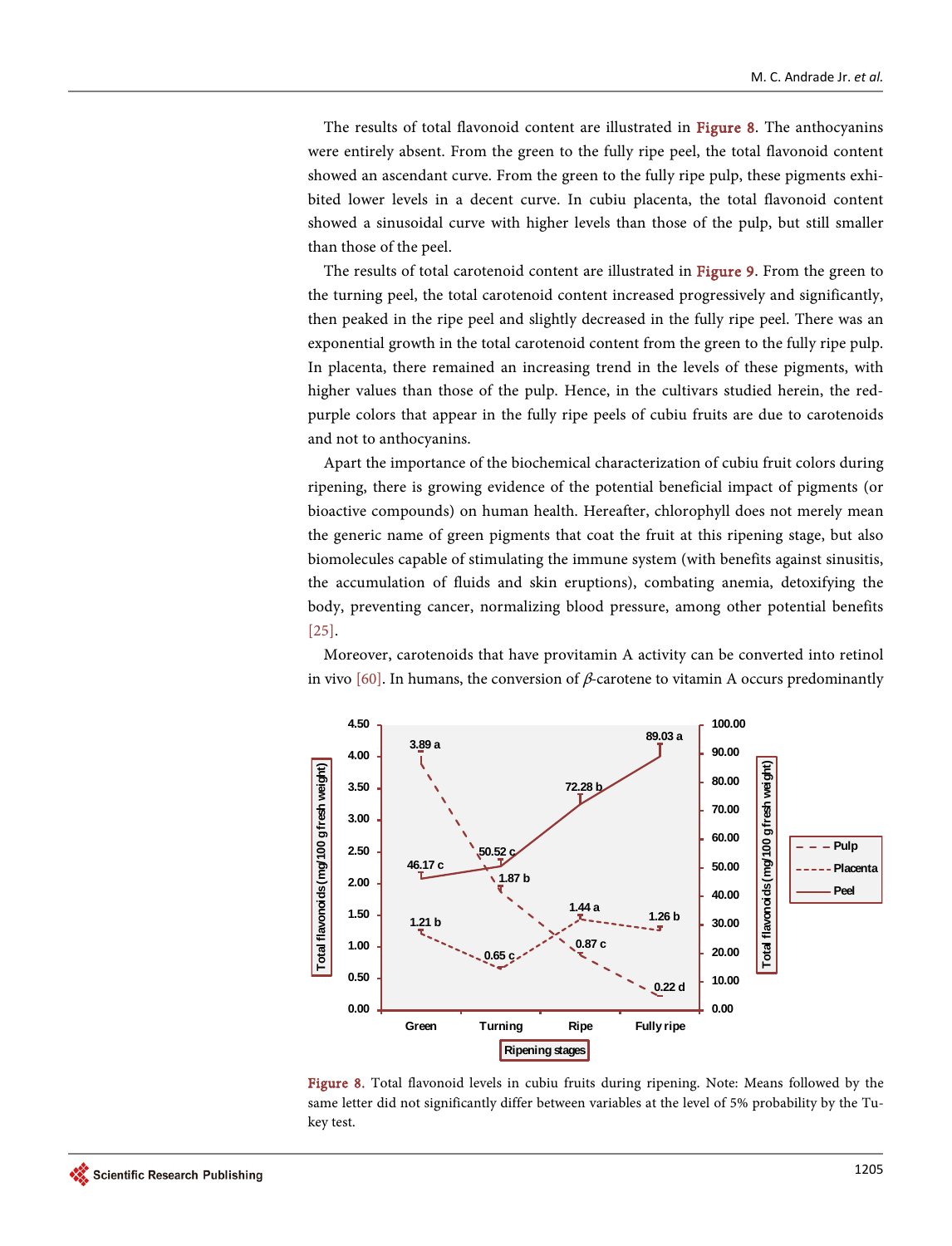The results of total flavonoid content are illustrated in [Figure 8.](#page-14-0) The anthocyanins were entirely absent. From the green to the fully ripe peel, the total flavonoid content showed an ascendant curve. From the green to the fully ripe pulp, these pigments exhibited lower levels in a decent curve. In cubiu placenta, the total flavonoid content showed a sinusoidal curve with higher levels than those of the pulp, but still smaller than those of the peel.

The results of total carotenoid content are illustrated in [Figure 9.](#page-15-0) From the green to the turning peel, the total carotenoid content increased progressively and significantly, then peaked in the ripe peel and slightly decreased in the fully ripe peel. There was an exponential growth in the total carotenoid content from the green to the fully ripe pulp. In placenta, there remained an increasing trend in the levels of these pigments, with higher values than those of the pulp. Hence, in the cultivars studied herein, the redpurple colors that appear in the fully ripe peels of cubiu fruits are due to carotenoids and not to anthocyanins.

Apart the importance of the biochemical characterization of cubiu fruit colors during ripening, there is growing evidence of the potential beneficial impact of pigments (or bioactive compounds) on human health. Hereafter, chlorophyll does not merely mean the generic name of green pigments that coat the fruit at this ripening stage, but also biomolecules capable of stimulating the immune system (with benefits against sinusitis, the accumulation of fluids and skin eruptions), combating anemia, detoxifying the body, preventing cancer, normalizing blood pressure, among other potential benefits [\[25\].](#page-24-10)

<span id="page-14-0"></span>

Moreover, carotenoids that have provitamin A activity can be converted into retinol in viv[o \[60\].](#page-26-13) In humans, the conversion of  $\beta$ -carotene to vitamin A occurs predominantly

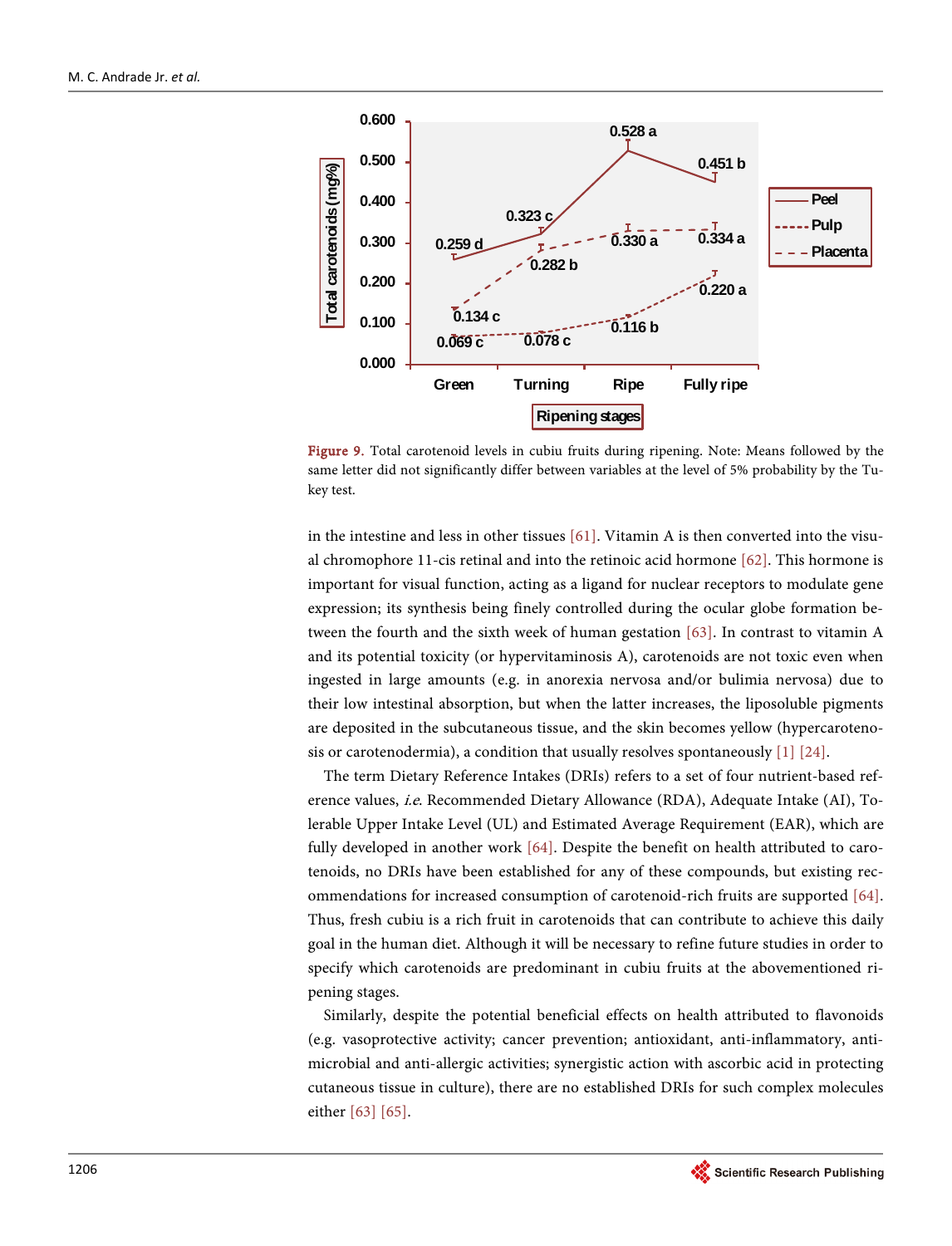<span id="page-15-0"></span>

Figure 9. Total carotenoid levels in cubiu fruits during ripening. Note: Means followed by the same letter did not significantly differ between variables at the level of 5% probability by the Tukey test.

in the intestine and less in other tissues [\[61\].](#page-27-0) Vitamin A is then converted into the visual chromophore 11-cis retinal and into the retinoic acid hormone [\[62\].](#page-27-1) This hormone is important for visual function, acting as a ligand for nuclear receptors to modulate gene expression; its synthesis being finely controlled during the ocular globe formation between the fourth and the sixth week of human gestation [\[63\].](#page-27-2) In contrast to vitamin A and its potential toxicity (or hypervitaminosis A), carotenoids are not toxic even when ingested in large amounts (e.g. in anorexia nervosa and/or bulimia nervosa) due to their low intestinal absorption, but when the latter increases, the liposoluble pigments are deposited in the subcutaneous tissue, and the skin becomes yellow (hypercarotenosis or carotenodermia), a condition that usually resolves spontaneously  $[1] [24]$ .

The term Dietary Reference Intakes (DRIs) refers to a set of four nutrient-based reference values, i.e. Recommended Dietary Allowance (RDA), Adequate Intake (AI), Tolerable Upper Intake Level (UL) and Estimated Average Requirement (EAR), which are fully developed in another work [\[64\].](#page-27-3) Despite the benefit on health attributed to carotenoids, no DRIs have been established for any of these compounds, but existing recommendations for increased consumption of carotenoid-rich fruits are supported [\[64\].](#page-27-3) Thus, fresh cubiu is a rich fruit in carotenoids that can contribute to achieve this daily goal in the human diet. Although it will be necessary to refine future studies in order to specify which carotenoids are predominant in cubiu fruits at the abovementioned ripening stages.

Similarly, despite the potential beneficial effects on health attributed to flavonoids (e.g. vasoprotective activity; cancer prevention; antioxidant, anti-inflammatory, antimicrobial and anti-allergic activities; synergistic action with ascorbic acid in protecting cutaneous tissue in culture), there are no established DRIs for such complex molecules eithe[r \[63\]](#page-27-2) [\[65\].](#page-27-4)

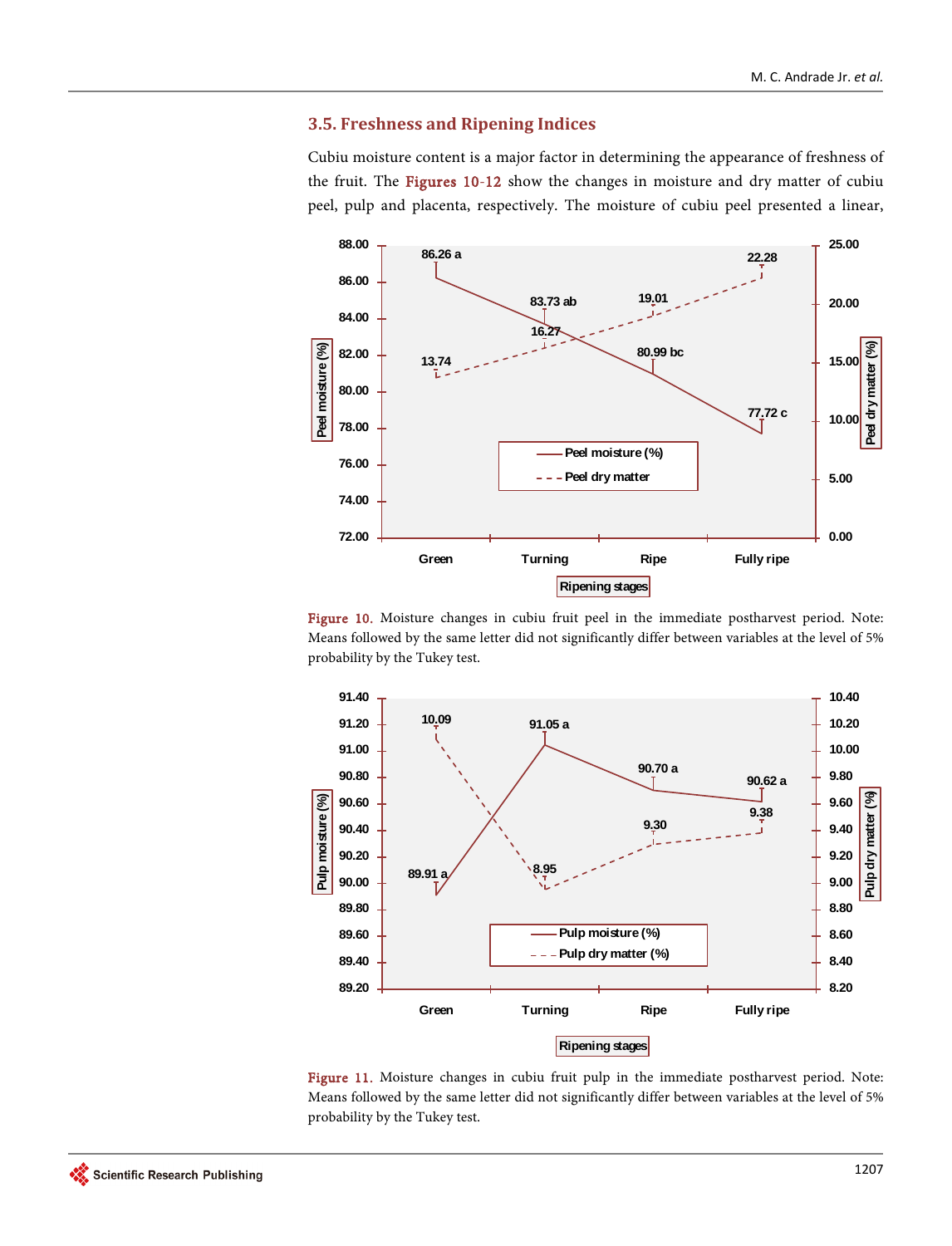# **3.5. Freshness and Ripening Indices**

Cubiu moisture content is a major factor in determining the appearance of freshness of the fruit. The [Figures 10-12](#page-16-0) show the changes in moisture and dry matter of cubiu peel, pulp and placenta, respectively. The moisture of cubiu peel presented a linear,

<span id="page-16-0"></span>

Figure 10. Moisture changes in cubiu fruit peel in the immediate postharvest period. Note: Means followed by the same letter did not significantly differ between variables at the level of 5% probability by the Tukey test.



Figure 11. Moisture changes in cubiu fruit pulp in the immediate postharvest period. Note: Means followed by the same letter did not significantly differ between variables at the level of 5% probability by the Tukey test.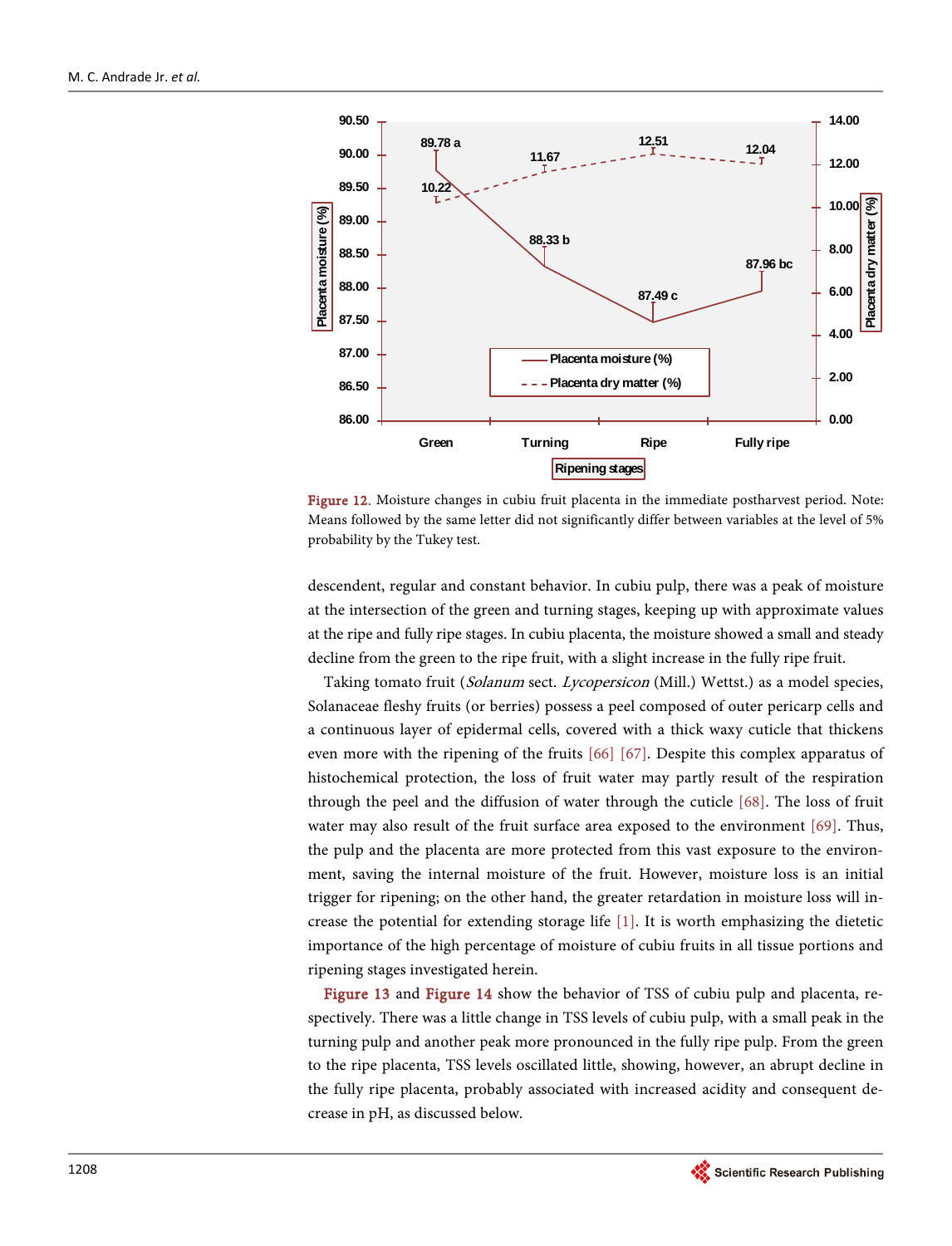

Figure 12. Moisture changes in cubiu fruit placenta in the immediate postharvest period. Note: Means followed by the same letter did not significantly differ between variables at the level of 5% probability by the Tukey test.

descendent, regular and constant behavior. In cubiu pulp, there was a peak of moisture at the intersection of the green and turning stages, keeping up with approximate values at the ripe and fully ripe stages. In cubiu placenta, the moisture showed a small and steady decline from the green to the ripe fruit, with a slight increase in the fully ripe fruit.

Taking tomato fruit (Solanum sect. Lycopersicon (Mill.) Wettst.) as a model species, Solanaceae fleshy fruits (or berries) possess a peel composed of outer pericarp cells and a continuous layer of epidermal cells, covered with a thick waxy cuticle that thickens even more with the ripening of the fruits [\[66\]](#page-27-5) [\[67\].](#page-27-6) Despite this complex apparatus of histochemical protection, the loss of fruit water may partly result of the respiration through the peel and the diffusion of water through the cuticle [\[68\].](#page-27-7) The loss of fruit water may also result of the fruit surface area exposed to the environment [\[69\].](#page-27-8) Thus, the pulp and the placenta are more protected from this vast exposure to the environment, saving the internal moisture of the fruit. However, moisture loss is an initial trigger for ripening; on the other hand, the greater retardation in moisture loss will increase the potential for extending storage life  $[1]$ . It is worth emphasizing the dietetic importance of the high percentage of moisture of cubiu fruits in all tissue portions and ripening stages investigated herein.

[Figure 13](#page-18-0) and [Figure 14](#page-18-1) show the behavior of TSS of cubiu pulp and placenta, respectively. There was a little change in TSS levels of cubiu pulp, with a small peak in the turning pulp and another peak more pronounced in the fully ripe pulp. From the green to the ripe placenta, TSS levels oscillated little, showing, however, an abrupt decline in the fully ripe placenta, probably associated with increased acidity and consequent decrease in pH, as discussed below.

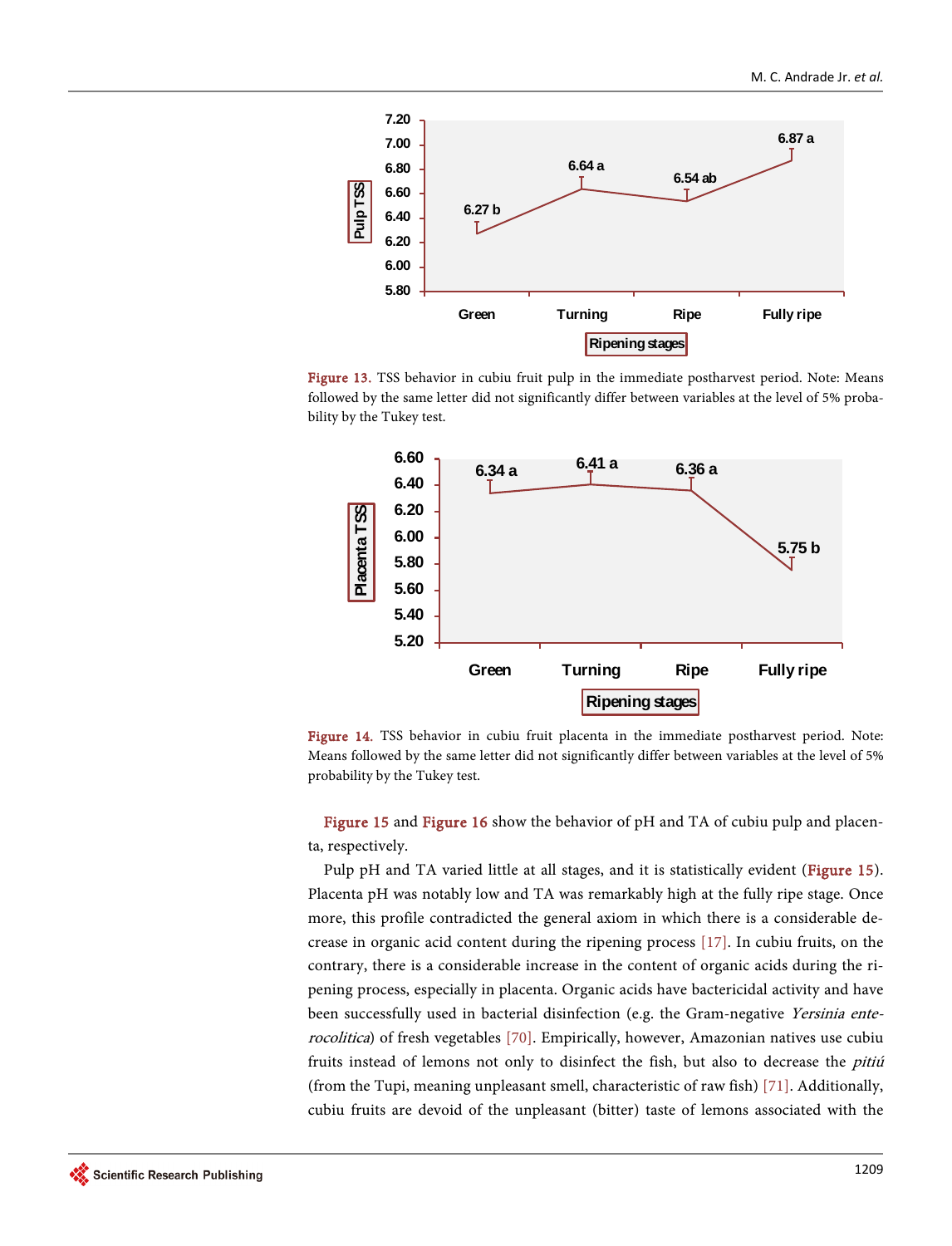<span id="page-18-0"></span>

<span id="page-18-1"></span>Figure 13. TSS behavior in cubiu fruit pulp in the immediate postharvest period. Note: Means followed by the same letter did not significantly differ between variables at the level of 5% probability by the Tukey test.



Figure 14. TSS behavior in cubiu fruit placenta in the immediate postharvest period. Note: Means followed by the same letter did not significantly differ between variables at the level of 5% probability by the Tukey test.

[Figure 15](#page-19-0) and [Figure 16](#page-19-1) show the behavior of pH and TA of cubiu pulp and placenta, respectively.

Pulp pH and TA varied little at all stages, and it is statistically evident [\(Figure 15\)](#page-19-0). Placenta pH was notably low and TA was remarkably high at the fully ripe stage. Once more, this profile contradicted the general axiom in which there is a considerable decrease in organic acid content during the ripening process [\[17\].](#page-24-2) In cubiu fruits, on the contrary, there is a considerable increase in the content of organic acids during the ripening process, especially in placenta. Organic acids have bactericidal activity and have been successfully used in bacterial disinfection (e.g. the Gram-negative Yersinia enterocolitica) of fresh vegetables [\[70\].](#page-27-9) Empirically, however, Amazonian natives use cubiu fruits instead of lemons not only to disinfect the fish, but also to decrease the *pitiú* (from the Tupi, meaning unpleasant smell, characteristic of raw fish) [\[71\].](#page-27-10) Additionally, cubiu fruits are devoid of the unpleasant (bitter) taste of lemons associated with the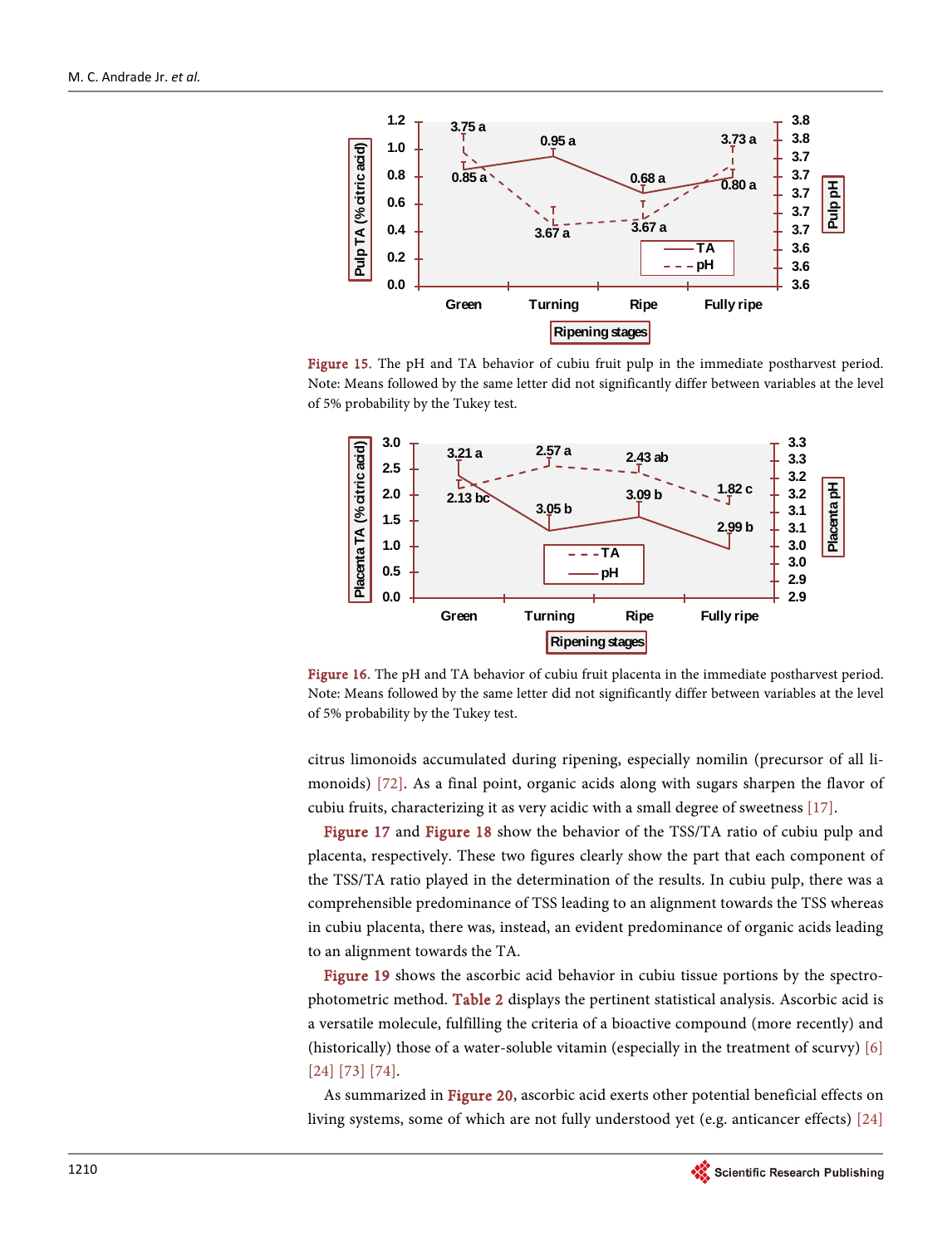<span id="page-19-0"></span>

<span id="page-19-1"></span>Figure 15. The pH and TA behavior of cubiu fruit pulp in the immediate postharvest period. Note: Means followed by the same letter did not significantly differ between variables at the level of 5% probability by the Tukey test.



Figure 16. The pH and TA behavior of cubiu fruit placenta in the immediate postharvest period. Note: Means followed by the same letter did not significantly differ between variables at the level of 5% probability by the Tukey test.

citrus limonoids accumulated during ripening, especially nomilin (precursor of all limonoids) [\[72\].](#page-27-11) As a final point, organic acids along with sugars sharpen the flavor of cubiu fruits, characterizing it as very acidic with a small degree of sweetness [\[17\].](#page-24-2)

[Figure 17](#page-20-0) and [Figure 18](#page-20-1) show the behavior of the TSS/TA ratio of cubiu pulp and placenta, respectively. These two figures clearly show the part that each component of the TSS/TA ratio played in the determination of the results. In cubiu pulp, there was a comprehensible predominance of TSS leading to an alignment towards the TSS whereas in cubiu placenta, there was, instead, an evident predominance of organic acids leading to an alignment towards the TA.

[Figure 19](#page-20-2) shows the ascorbic acid behavior in cubiu tissue portions by the spectrophotometric method. [Table 2](#page-21-0) displays the pertinent statistical analysis. Ascorbic acid is a versatile molecule, fulfilling the criteria of a bioactive compound (more recently) and (historically) those of a water-soluble vitamin (especially in the treatment of scurvy)  $[6]$ [\[24\]](#page-24-9) [\[73\]](#page-27-12) [\[74\].](#page-27-13)

As summarized in [Figure 20,](#page-21-1) ascorbic acid exerts other potential beneficial effects on living systems, some of which are not fully understood yet (e.g. anticancer effects) [\[24\]](#page-24-9)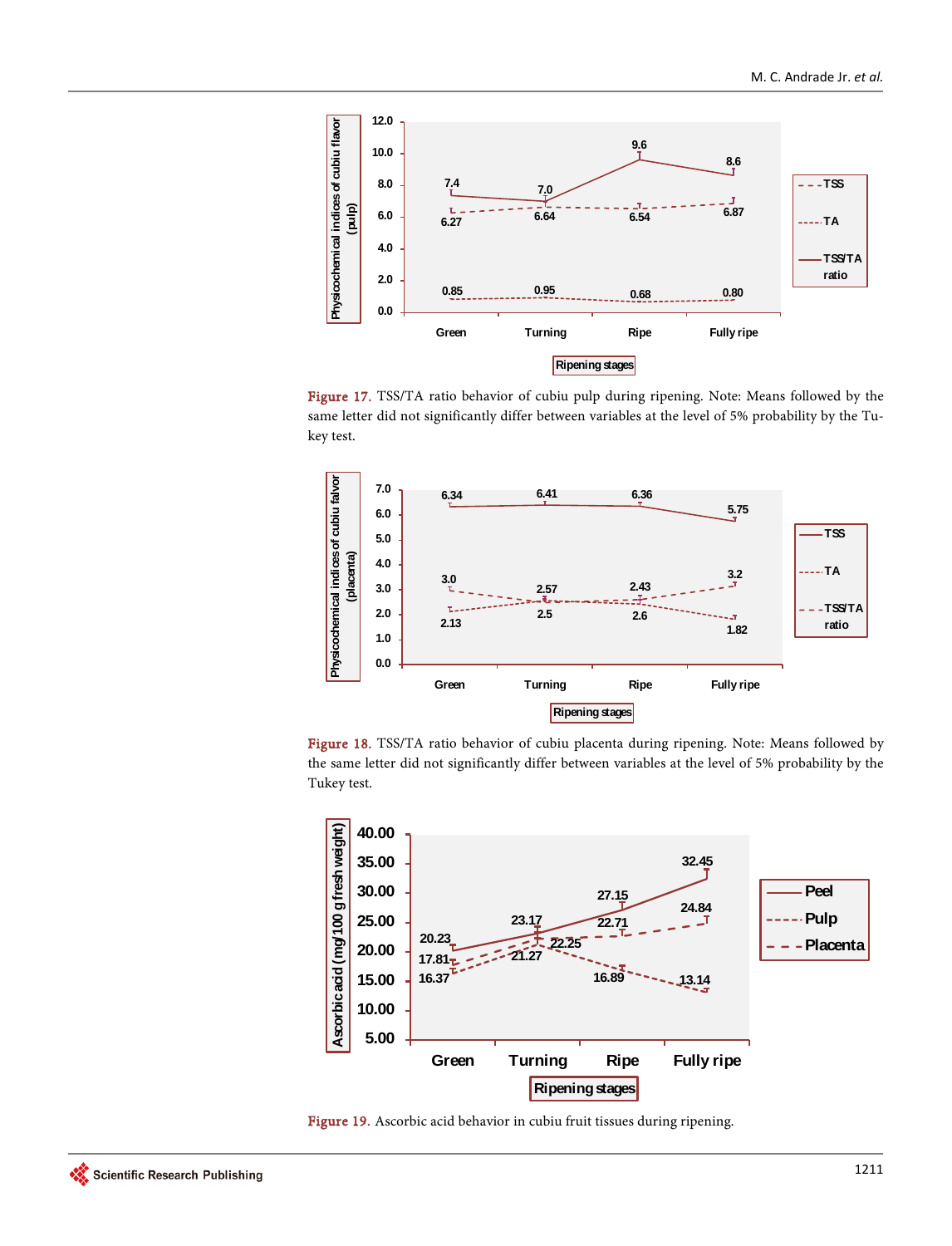<span id="page-20-0"></span>

Figure 17. TSS/TA ratio behavior of cubiu pulp during ripening. Note: Means followed by the same letter did not significantly differ between variables at the level of 5% probability by the Tukey test.

<span id="page-20-1"></span>

Figure 18. TSS/TA ratio behavior of cubiu placenta during ripening. Note: Means followed by the same letter did not significantly differ between variables at the level of 5% probability by the Tukey test.

<span id="page-20-2"></span>

Figure 19. Ascorbic acid behavior in cubiu fruit tissues during ripening.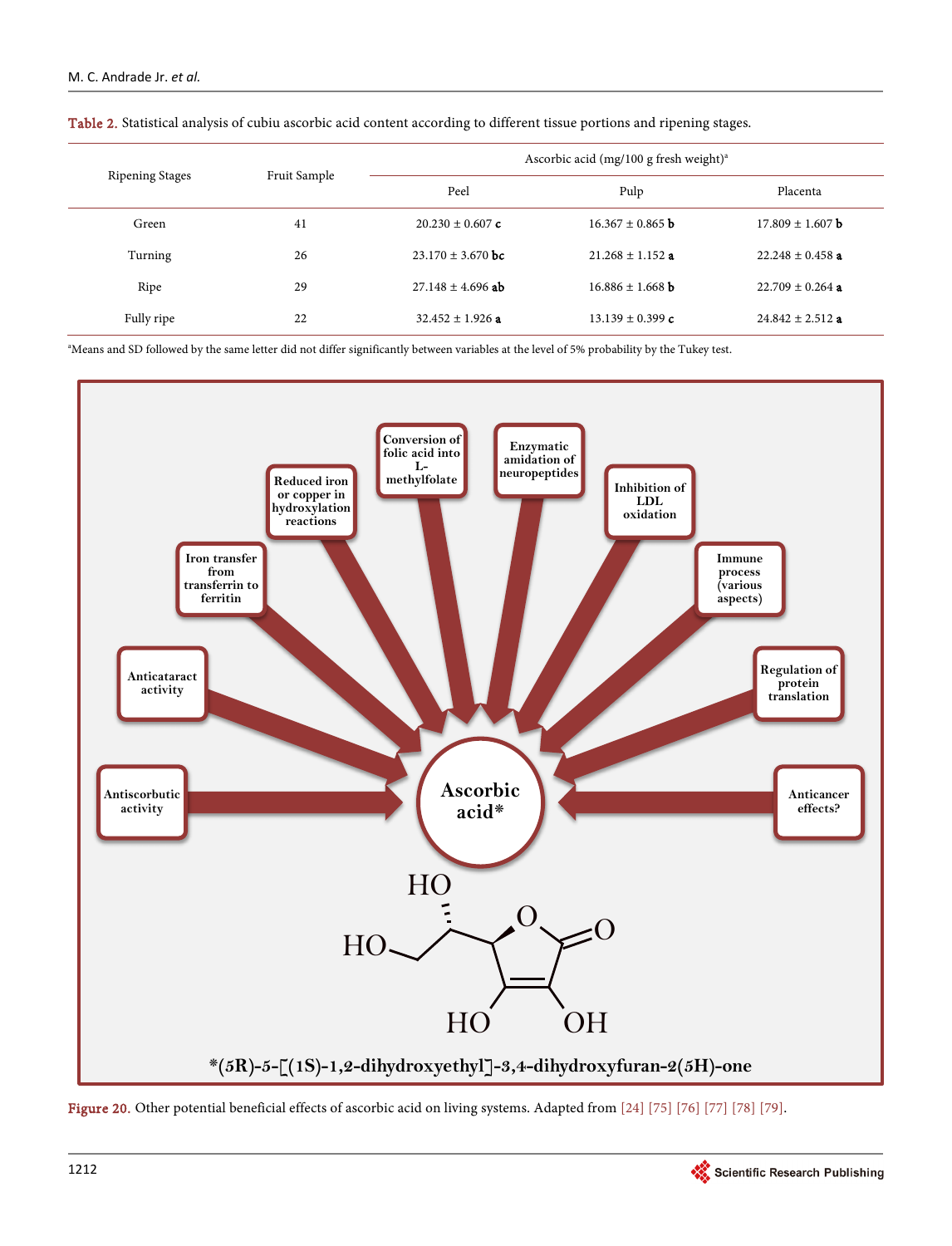| <b>Ripening Stages</b> | Fruit Sample | Ascorbic acid (mg/100 g fresh weight) <sup>a</sup> |                      |                      |  |
|------------------------|--------------|----------------------------------------------------|----------------------|----------------------|--|
|                        |              | Peel                                               | Pulp                 | Placenta             |  |
| Green                  | 41           | $20.230 \pm 0.607$ c                               | $16.367 \pm 0.865$ b | $17.809 \pm 1.607$ b |  |
| Turning                | 26           | $23.170 \pm 3.670$ bc                              | $21.268 \pm 1.152$ a | $22.248 \pm 0.458$ a |  |
| Ripe                   | 29           | $27.148 \pm 4.696$ ab                              | $16.886 \pm 1.668$ b | $22.709 \pm 0.264$ a |  |
| Fully ripe             | 22           | $32.452 + 1.926$ a                                 | $13.139 \pm 0.399$ c | $24.842 \pm 2.512$ a |  |

<span id="page-21-0"></span>Table 2. Statistical analysis of cubiu ascorbic acid content according to different tissue portions and ripening stages.

a Means and SD followed by the same letter did not differ significantly between variables at the level of 5% probability by the Tukey test.

<span id="page-21-1"></span>

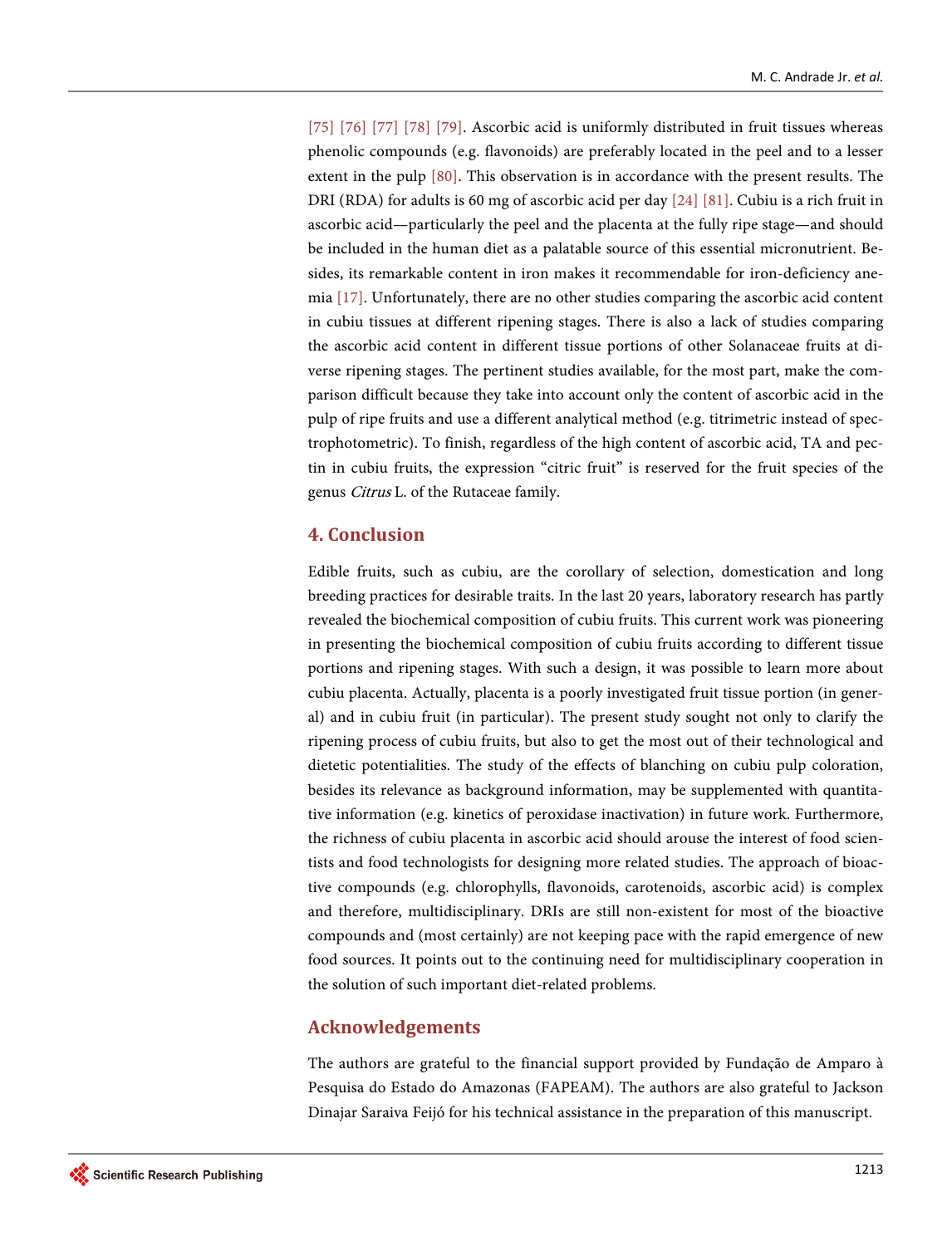[\[75\]](#page-27-14) [\[76\]](#page-27-15) [\[77\]](#page-28-0) [\[78\]](#page-28-1) [\[79\].](#page-28-2) Ascorbic acid is uniformly distributed in fruit tissues whereas phenolic compounds (e.g. flavonoids) are preferably located in the peel and to a lesser extent in the pulp [\[80\].](#page-28-3) This observation is in accordance with the present results. The DRI (RDA) for adults is 60 mg of ascorbic acid per day [\[24\]](#page-24-9) [\[81\].](#page-28-4) Cubiu is a rich fruit in ascorbic acid—particularly the peel and the placenta at the fully ripe stage—and should be included in the human diet as a palatable source of this essential micronutrient. Besides, its remarkable content in iron makes it recommendable for iron-deficiency anemi[a \[17\].](#page-24-2) Unfortunately, there are no other studies comparing the ascorbic acid content in cubiu tissues at different ripening stages. There is also a lack of studies comparing the ascorbic acid content in different tissue portions of other Solanaceae fruits at diverse ripening stages. The pertinent studies available, for the most part, make the comparison difficult because they take into account only the content of ascorbic acid in the pulp of ripe fruits and use a different analytical method (e.g. titrimetric instead of spectrophotometric). To finish, regardless of the high content of ascorbic acid, TA and pectin in cubiu fruits, the expression "citric fruit" is reserved for the fruit species of the genus Citrus L. of the Rutaceae family.

## **4. Conclusion**

Edible fruits, such as cubiu, are the corollary of selection, domestication and long breeding practices for desirable traits. In the last 20 years, laboratory research has partly revealed the biochemical composition of cubiu fruits. This current work was pioneering in presenting the biochemical composition of cubiu fruits according to different tissue portions and ripening stages. With such a design, it was possible to learn more about cubiu placenta. Actually, placenta is a poorly investigated fruit tissue portion (in general) and in cubiu fruit (in particular). The present study sought not only to clarify the ripening process of cubiu fruits, but also to get the most out of their technological and dietetic potentialities. The study of the effects of blanching on cubiu pulp coloration, besides its relevance as background information, may be supplemented with quantitative information (e.g. kinetics of peroxidase inactivation) in future work. Furthermore, the richness of cubiu placenta in ascorbic acid should arouse the interest of food scientists and food technologists for designing more related studies. The approach of bioactive compounds (e.g. chlorophylls, flavonoids, carotenoids, ascorbic acid) is complex and therefore, multidisciplinary. DRIs are still non-existent for most of the bioactive compounds and (most certainly) are not keeping pace with the rapid emergence of new food sources. It points out to the continuing need for multidisciplinary cooperation in the solution of such important diet-related problems.

# **Acknowledgements**

The authors are grateful to the financial support provided by Fundação de Amparo à Pesquisa do Estado do Amazonas (FAPEAM). The authors are also grateful to Jackson Dinajar Saraiva Feijó for his technical assistance in the preparation of this manuscript.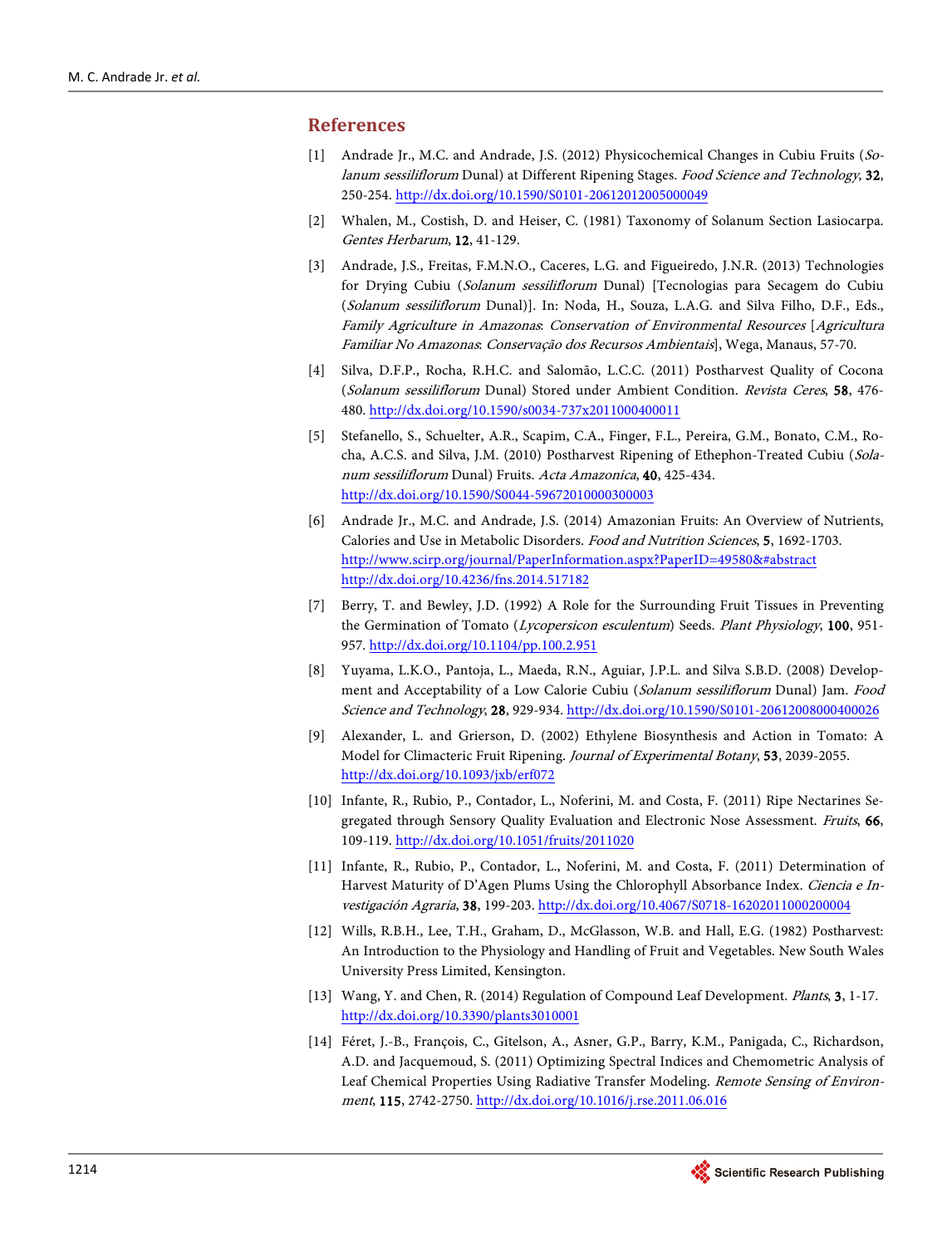## <span id="page-23-0"></span>**References**

- [1] Andrade Jr., M.C. and Andrade, J.S. (2012) Physicochemical Changes in Cubiu Fruits (Solanum sessiliflorum Dunal) at Different Ripening Stages. Food Science and Technology, 32, 250-254[. http://dx.doi.org/10.1590/S0101-20612012005000049](http://dx.doi.org/10.1590/S0101-20612012005000049)
- <span id="page-23-1"></span>[2] Whalen, M., Costish, D. and Heiser, C. (1981) Taxonomy of Solanum Section Lasiocarpa. Gentes Herbarum, 12, 41-129.
- <span id="page-23-2"></span>[3] Andrade, J.S., Freitas, F.M.N.O., Caceres, L.G. and Figueiredo, J.N.R. (2013) Technologies for Drying Cubiu (Solanum sessiliflorum Dunal) [Tecnologias para Secagem do Cubiu (Solanum sessiliflorum Dunal)]. In: Noda, H., Souza, L.A.G. and Silva Filho, D.F., Eds., Family Agriculture in Amazonas: Conservation of Environmental Resources [Agricultura Familiar No Amazonas: Conservação dos Recursos Ambientais], Wega, Manaus, 57-70.
- <span id="page-23-3"></span>[4] Silva, D.F.P., Rocha, R.H.C. and Salomão, L.C.C. (2011) Postharvest Quality of Cocona (Solanum sessiliflorum Dunal) Stored under Ambient Condition. Revista Ceres, 58, 476- 480.<http://dx.doi.org/10.1590/s0034-737x2011000400011>
- <span id="page-23-4"></span>[5] Stefanello, S., Schuelter, A.R., Scapim, C.A., Finger, F.L., Pereira, G.M., Bonato, C.M., Rocha, A.C.S. and Silva, J.M. (2010) Postharvest Ripening of Ethephon-Treated Cubiu (Solanum sessiliflorum Dunal) Fruits. Acta Amazonica, 40, 425-434. <http://dx.doi.org/10.1590/S0044-59672010000300003>
- <span id="page-23-5"></span>[6] Andrade Jr., M.C. and Andrade, J.S. (2014) Amazonian Fruits: An Overview of Nutrients, Calories and Use in Metabolic Disorders. Food and Nutrition Sciences, 5, 1692-1703. [http://www.scirp.org/journal/PaperInformation.aspx?PaperID=49580&#abstract](http://www.scirp.org/journal/PaperInformation.aspx?PaperID=49580&%23abstract) <http://dx.doi.org/10.4236/fns.2014.517182>
- <span id="page-23-6"></span>[7] Berry, T. and Bewley, J.D. (1992) A Role for the Surrounding Fruit Tissues in Preventing the Germination of Tomato (Lycopersicon esculentum) Seeds. Plant Physiology, 100, 951- 957.<http://dx.doi.org/10.1104/pp.100.2.951>
- <span id="page-23-7"></span>[8] Yuyama, L.K.O., Pantoja, L., Maeda, R.N., Aguiar, J.P.L. and Silva S.B.D. (2008) Development and Acceptability of a Low Calorie Cubiu (Solanum sessiliflorum Dunal) Jam. Food Science and Technology, 28, 929-934[. http://dx.doi.org/10.1590/S0101-20612008000400026](http://dx.doi.org/10.1590/S0101-20612008000400026)
- <span id="page-23-8"></span>[9] Alexander, L. and Grierson, D. (2002) Ethylene Biosynthesis and Action in Tomato: A Model for Climacteric Fruit Ripening. Journal of Experimental Botany, 53, 2039-2055. <http://dx.doi.org/10.1093/jxb/erf072>
- <span id="page-23-9"></span>[10] Infante, R., Rubio, P., Contador, L., Noferini, M. and Costa, F. (2011) Ripe Nectarines Segregated through Sensory Quality Evaluation and Electronic Nose Assessment. Fruits, 66, 109-119[. http://dx.doi.org/10.1051/fruits/2011020](http://dx.doi.org/10.1051/fruits/2011020)
- <span id="page-23-10"></span>[11] Infante, R., Rubio, P., Contador, L., Noferini, M. and Costa, F. (2011) Determination of Harvest Maturity of D'Agen Plums Using the Chlorophyll Absorbance Index. Ciencia e In-vestigación Agraria, 38, 199-203[. http://dx.doi.org/10.4067/S0718-16202011000200004](http://dx.doi.org/10.4067/S0718-16202011000200004)
- <span id="page-23-11"></span>[12] Wills, R.B.H., Lee, T.H., Graham, D., McGlasson, W.B. and Hall, E.G. (1982) Postharvest: An Introduction to the Physiology and Handling of Fruit and Vegetables. New South Wales University Press Limited, Kensington.
- <span id="page-23-12"></span>[13] Wang, Y. and Chen, R. (2014) Regulation of Compound Leaf Development. Plants, 3, 1-17. <http://dx.doi.org/10.3390/plants3010001>
- <span id="page-23-13"></span>[14] Féret, J.-B., François, C., Gitelson, A., Asner, G.P., Barry, K.M., Panigada, C., Richardson, A.D. and Jacquemoud, S. (2011) Optimizing Spectral Indices and Chemometric Analysis of Leaf Chemical Properties Using Radiative Transfer Modeling. Remote Sensing of Environment, 115, 2742-2750.<http://dx.doi.org/10.1016/j.rse.2011.06.016>

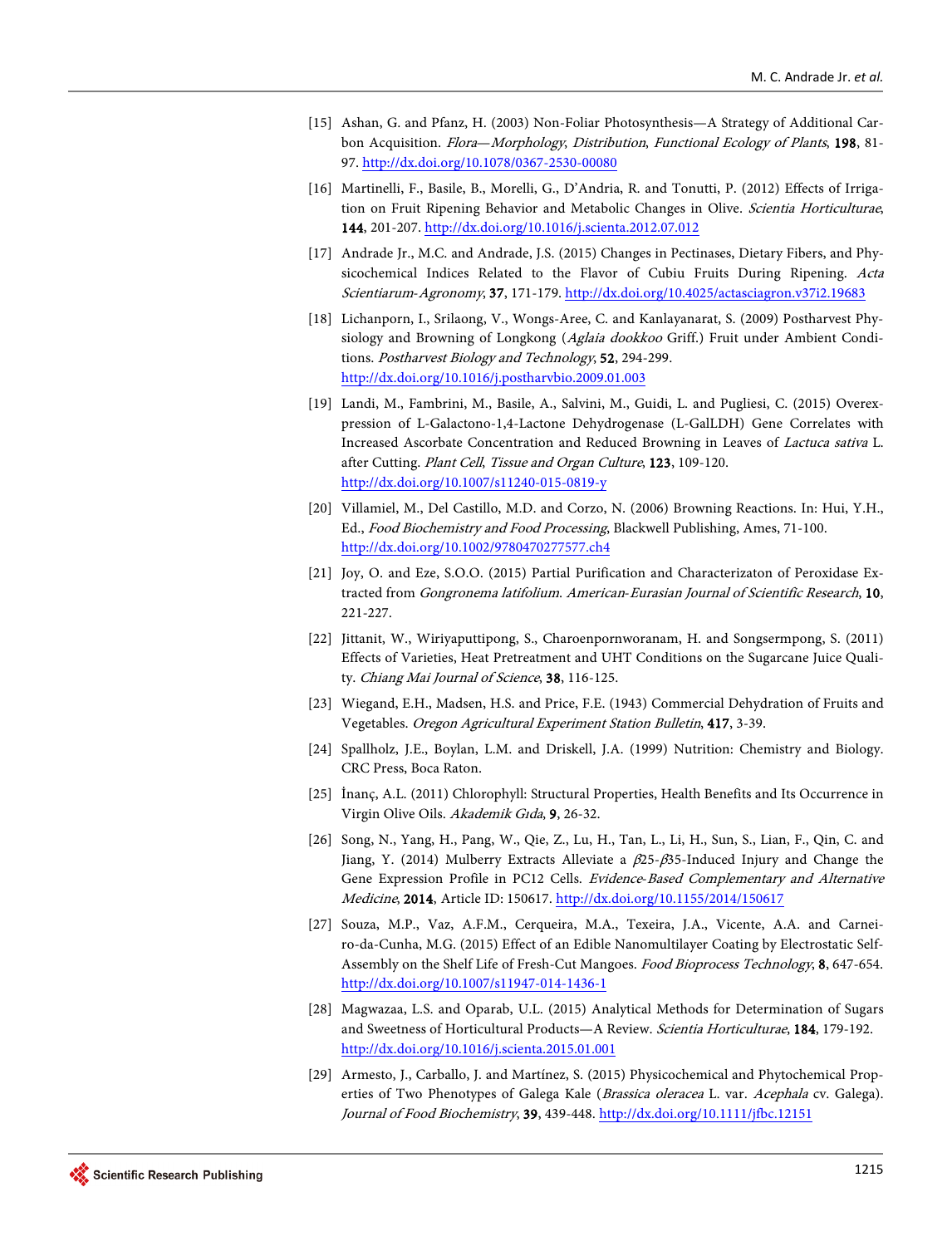- <span id="page-24-0"></span>[15] Ashan, G. and Pfanz, H. (2003) Non-Foliar Photosynthesis—A Strategy of Additional Carbon Acquisition. Flora-Morphology, Distribution, Functional Ecology of Plants, 198, 81-97[. http://dx.doi.org/10.1078/0367-2530-00080](http://dx.doi.org/10.1078/0367-2530-00080)
- <span id="page-24-1"></span>[16] Martinelli, F., Basile, B., Morelli, G., D'Andria, R. and Tonutti, P. (2012) Effects of Irrigation on Fruit Ripening Behavior and Metabolic Changes in Olive. Scientia Horticulturae, 144, 201-207[. http://dx.doi.org/10.1016/j.scienta.2012.07.012](http://dx.doi.org/10.1016/j.scienta.2012.07.012)
- <span id="page-24-2"></span>[17] Andrade Jr., M.C. and Andrade, J.S. (2015) Changes in Pectinases, Dietary Fibers, and Physicochemical Indices Related to the Flavor of Cubiu Fruits During Ripening. Acta Scientiarum-Agronomy, 37, 171-179. <http://dx.doi.org/10.4025/actasciagron.v37i2.19683>
- <span id="page-24-3"></span>[18] Lichanporn, I., Srilaong, V., Wongs-Aree, C. and Kanlayanarat, S. (2009) Postharvest Physiology and Browning of Longkong (Aglaia dookkoo Griff.) Fruit under Ambient Conditions. Postharvest Biology and Technology, 52, 294-299. <http://dx.doi.org/10.1016/j.postharvbio.2009.01.003>
- <span id="page-24-4"></span>[19] Landi, M., Fambrini, M., Basile, A., Salvini, M., Guidi, L. and Pugliesi, C. (2015) Overexpression of L-Galactono-1,4-Lactone Dehydrogenase (L-GalLDH) Gene Correlates with Increased Ascorbate Concentration and Reduced Browning in Leaves of Lactuca sativa L. after Cutting. Plant Cell, Tissue and Organ Culture, 123, 109-120. <http://dx.doi.org/10.1007/s11240-015-0819-y>
- <span id="page-24-5"></span>[20] Villamiel, M., Del Castillo, M.D. and Corzo, N. (2006) Browning Reactions. In: Hui, Y.H., Ed., Food Biochemistry and Food Processing, Blackwell Publishing, Ames, 71-100. <http://dx.doi.org/10.1002/9780470277577.ch4>
- <span id="page-24-6"></span>[21] Joy, O. and Eze, S.O.O. (2015) Partial Purification and Characterizaton of Peroxidase Extracted from Gongronema latifolium. American-Eurasian Journal of Scientific Research, 10, 221-227.
- <span id="page-24-7"></span>[22] Jittanit, W., Wiriyaputtipong, S., Charoenpornworanam, H. and Songsermpong, S. (2011) Effects of Varieties, Heat Pretreatment and UHT Conditions on the Sugarcane Juice Quality. Chiang Mai Journal of Science, 38, 116-125.
- <span id="page-24-8"></span>[23] Wiegand, E.H., Madsen, H.S. and Price, F.E. (1943) Commercial Dehydration of Fruits and Vegetables. Oregon Agricultural Experiment Station Bulletin, 417, 3-39.
- <span id="page-24-9"></span>[24] Spallholz, J.E., Boylan, L.M. and Driskell, J.A. (1999) Nutrition: Chemistry and Biology. CRC Press, Boca Raton.
- <span id="page-24-10"></span>[25] İnanç, A.L. (2011) Chlorophyll: Structural Properties, Health Benefits and Its Occurrence in Virgin Olive Oils. Akademik Gıda, 9, 26-32.
- <span id="page-24-11"></span>[26] Song, N., Yang, H., Pang, W., Qie, Z., Lu, H., Tan, L., Li, H., Sun, S., Lian, F., Qin, C. and Jiang, Y. (2014) Mulberry Extracts Alleviate a  $\beta$ 25- $\beta$ 35-Induced Injury and Change the Gene Expression Profile in PC12 Cells. Evidence-Based Complementary and Alternative Medicine, 2014, Article ID: 150617[. http://dx.doi.org/10.1155/2014/150617](http://dx.doi.org/10.1155/2014/150617)
- <span id="page-24-12"></span>[27] Souza, M.P., Vaz, A.F.M., Cerqueira, M.A., Texeira, J.A., Vicente, A.A. and Carneiro-da-Cunha, M.G. (2015) Effect of an Edible Nanomultilayer Coating by Electrostatic Self-Assembly on the Shelf Life of Fresh-Cut Mangoes. Food Bioprocess Technology, 8, 647-654. <http://dx.doi.org/10.1007/s11947-014-1436-1>
- <span id="page-24-13"></span>[28] Magwazaa, L.S. and Oparab, U.L. (2015) Analytical Methods for Determination of Sugars and Sweetness of Horticultural Products—A Review. Scientia Horticulturae, 184, 179-192. <http://dx.doi.org/10.1016/j.scienta.2015.01.001>
- <span id="page-24-14"></span>[29] Armesto, J., Carballo, J. and Martínez, S. (2015) Physicochemical and Phytochemical Properties of Two Phenotypes of Galega Kale (Brassica oleracea L. var. Acephala cv. Galega). Journal of Food Biochemistry, 39, 439-448[. http://dx.doi.org/10.1111/jfbc.12151](http://dx.doi.org/10.1111/jfbc.12151)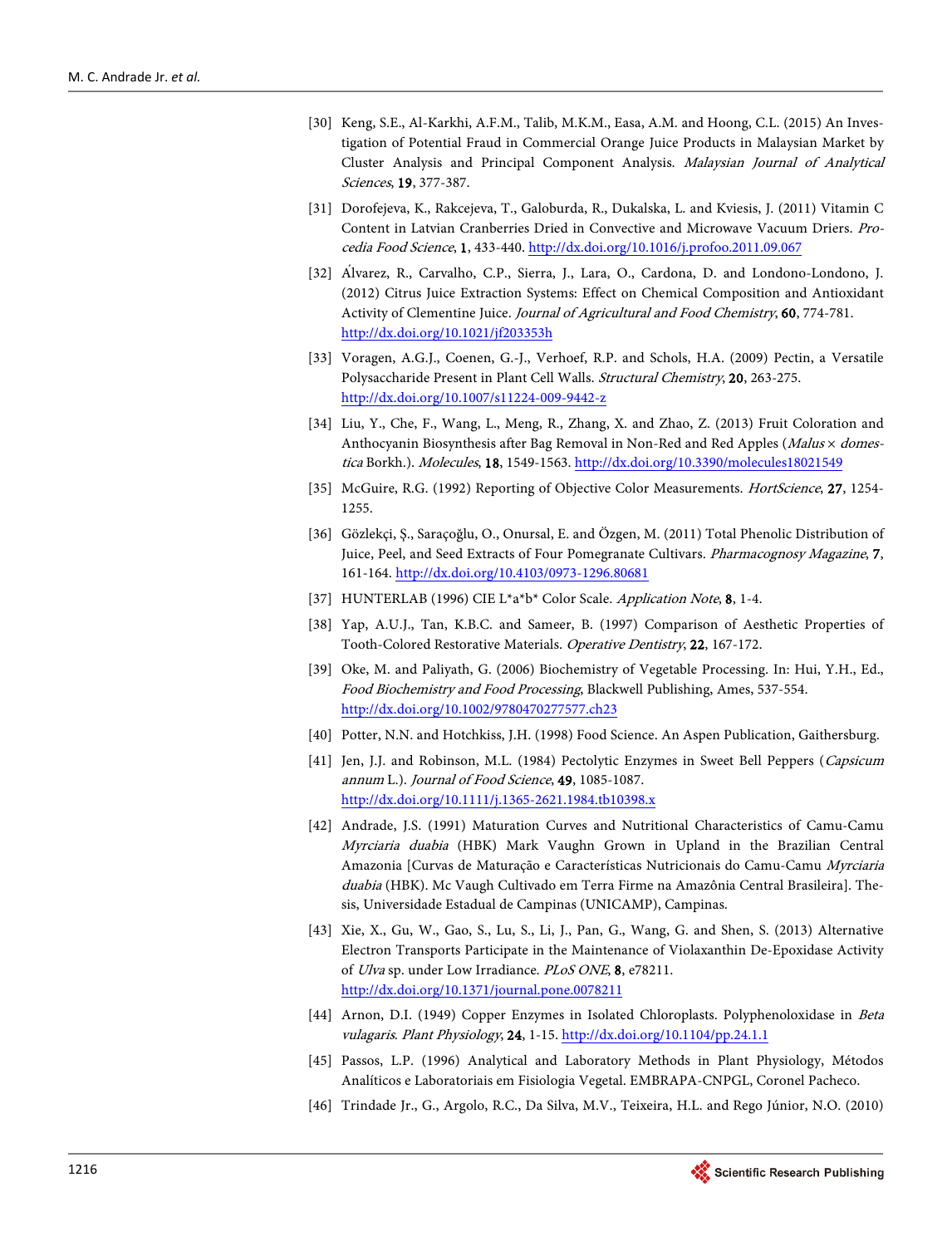- <span id="page-25-0"></span>[30] Keng, S.E., Al-Karkhi, A.F.M., Talib, M.K.M., Easa, A.M. and Hoong, C.L. (2015) An Investigation of Potential Fraud in Commercial Orange Juice Products in Malaysian Market by Cluster Analysis and Principal Component Analysis. Malaysian Journal of Analytical Sciences, 19, 377-387.
- <span id="page-25-1"></span>[31] Dorofejeva, K., Rakcejeva, T., Galoburda, R., Dukalska, L. and Kviesis, J. (2011) Vitamin C Content in Latvian Cranberries Dried in Convective and Microwave Vacuum Driers. Procedia Food Science, 1, 433-440[. http://dx.doi.org/10.1016/j.profoo.2011.09.067](http://dx.doi.org/10.1016/j.profoo.2011.09.067)
- <span id="page-25-2"></span>[32] Álvarez, R., Carvalho, C.P., Sierra, J., Lara, O., Cardona, D. and Londono-Londono, J. (2012) Citrus Juice Extraction Systems: Effect on Chemical Composition and Antioxidant Activity of Clementine Juice. Journal of Agricultural and Food Chemistry, 60, 774-781. <http://dx.doi.org/10.1021/jf203353h>
- <span id="page-25-3"></span>[33] Voragen, A.G.J., Coenen, G.-J., Verhoef, R.P. and Schols, H.A. (2009) Pectin, a Versatile Polysaccharide Present in Plant Cell Walls. Structural Chemistry, 20, 263-275. <http://dx.doi.org/10.1007/s11224-009-9442-z>
- <span id="page-25-4"></span>[34] Liu, Y., Che, F., Wang, L., Meng, R., Zhang, X. and Zhao, Z. (2013) Fruit Coloration and Anthocyanin Biosynthesis after Bag Removal in Non-Red and Red Apples ( $Malus \times domes$ -tica Borkh.). Molecules, 18, 1549-1563[. http://dx.doi.org/10.3390/molecules18021549](http://dx.doi.org/10.3390/molecules18021549)
- <span id="page-25-5"></span>[35] McGuire, R.G. (1992) Reporting of Objective Color Measurements. HortScience, 27, 1254-1255.
- <span id="page-25-6"></span>[36] Gözlekçi, Ş., Saraçoğlu, O., Onursal, E. and Özgen, M. (2011) Total Phenolic Distribution of Juice, Peel, and Seed Extracts of Four Pomegranate Cultivars. Pharmacognosy Magazine, 7, 161-164[. http://dx.doi.org/10.4103/0973-1296.80681](http://dx.doi.org/10.4103/0973-1296.80681)
- <span id="page-25-8"></span><span id="page-25-7"></span>[37] HUNTERLAB (1996) CIE L\*a\*b\* Color Scale. Application Note, 8, 1-4.
- [38] Yap, A.U.J., Tan, K.B.C. and Sameer, B. (1997) Comparison of Aesthetic Properties of Tooth-Colored Restorative Materials. Operative Dentistry, 22, 167-172.
- <span id="page-25-9"></span>[39] Oke, M. and Paliyath, G. (2006) Biochemistry of Vegetable Processing. In: Hui, Y.H., Ed., Food Biochemistry and Food Processing, Blackwell Publishing, Ames, 537-554. <http://dx.doi.org/10.1002/9780470277577.ch23>
- <span id="page-25-10"></span>[40] Potter, N.N. and Hotchkiss, J.H. (1998) Food Science. An Aspen Publication, Gaithersburg.
- <span id="page-25-11"></span>[41] Jen, J.J. and Robinson, M.L. (1984) Pectolytic Enzymes in Sweet Bell Peppers (Capsicum annum L.). Journal of Food Science, 49, 1085-1087. <http://dx.doi.org/10.1111/j.1365-2621.1984.tb10398.x>
- <span id="page-25-12"></span>[42] Andrade, J.S. (1991) Maturation Curves and Nutritional Characteristics of Camu-Camu Myrciaria duabia (HBK) Mark Vaughn Grown in Upland in the Brazilian Central Amazonia [Curvas de Maturação e Características Nutricionais do Camu-Camu Myrciaria duabia (HBK). Mc Vaugh Cultivado em Terra Firme na Amazônia Central Brasileira]. Thesis, Universidade Estadual de Campinas (UNICAMP), Campinas.
- <span id="page-25-13"></span>[43] Xie, X., Gu, W., Gao, S., Lu, S., Li, J., Pan, G., Wang, G. and Shen, S. (2013) Alternative Electron Transports Participate in the Maintenance of Violaxanthin De-Epoxidase Activity of Ulva sp. under Low Irradiance. PLoS ONE, 8, e78211. <http://dx.doi.org/10.1371/journal.pone.0078211>
- <span id="page-25-14"></span>[44] Arnon, D.I. (1949) Copper Enzymes in Isolated Chloroplasts. Polyphenoloxidase in Beta vulagaris. Plant Physiology, 24, 1-15[. http://dx.doi.org/10.1104/pp.24.1.1](http://dx.doi.org/10.1104/pp.24.1.1)
- <span id="page-25-15"></span>[45] Passos, L.P. (1996) Analytical and Laboratory Methods in Plant Physiology, Métodos Analíticos e Laboratoriais em Fisiologia Vegetal. EMBRAPA-CNPGL, Coronel Pacheco.
- <span id="page-25-16"></span>[46] Trindade Jr., G., Argolo, R.C., Da Silva, M.V., Teixeira, H.L. and Rego Júnior, N.O. (2010)

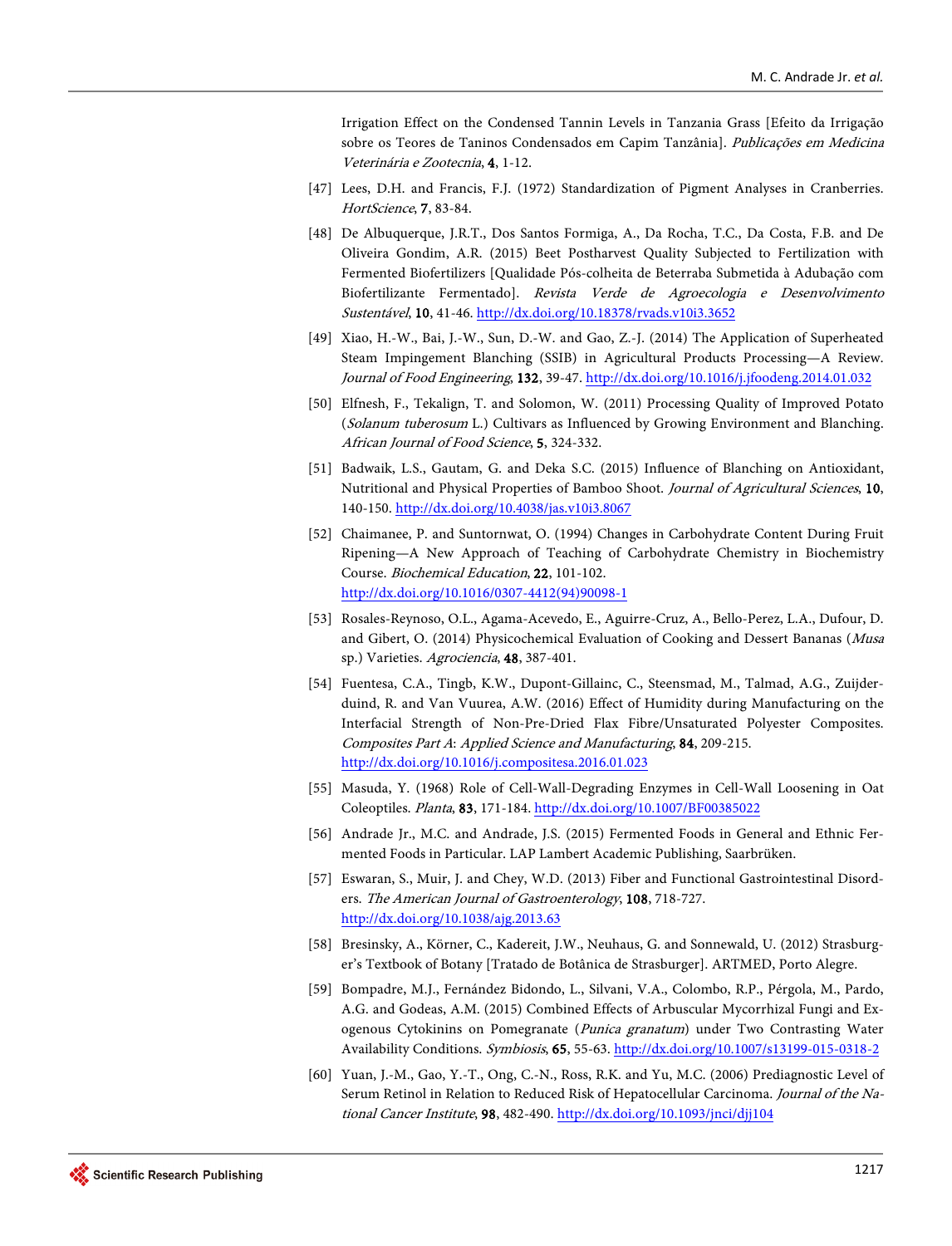Irrigation Effect on the Condensed Tannin Levels in Tanzania Grass [Efeito da Irrigação sobre os Teores de Taninos Condensados em Capim Tanzânia]. Publicações em Medicina Veterinária e Zootecnia, 4, 1-12.

- <span id="page-26-0"></span>[47] Lees, D.H. and Francis, F.J. (1972) Standardization of Pigment Analyses in Cranberries. HortScience, 7, 83-84.
- <span id="page-26-1"></span>[48] De Albuquerque, J.R.T., Dos Santos Formiga, A., Da Rocha, T.C., Da Costa, F.B. and De Oliveira Gondim, A.R. (2015) Beet Postharvest Quality Subjected to Fertilization with Fermented Biofertilizers [Qualidade Pós-colheita de Beterraba Submetida à Adubação com Biofertilizante Fermentado]. Revista Verde de Agroecologia e Desenvolvimento Sustentável, 10, 41-46. <http://dx.doi.org/10.18378/rvads.v10i3.3652>
- <span id="page-26-2"></span>[49] Xiao, H.-W., Bai, J.-W., Sun, D.-W. and Gao, Z.-J. (2014) The Application of Superheated Steam Impingement Blanching (SSIB) in Agricultural Products Processing—A Review. Journal of Food Engineering, 132, 39-47[. http://dx.doi.org/10.1016/j.jfoodeng.2014.01.032](http://dx.doi.org/10.1016/j.jfoodeng.2014.01.032)
- <span id="page-26-3"></span>[50] Elfnesh, F., Tekalign, T. and Solomon, W. (2011) Processing Quality of Improved Potato (Solanum tuberosum L.) Cultivars as Influenced by Growing Environment and Blanching. African Journal of Food Science, 5, 324-332.
- <span id="page-26-4"></span>[51] Badwaik, L.S., Gautam, G. and Deka S.C. (2015) Influence of Blanching on Antioxidant, Nutritional and Physical Properties of Bamboo Shoot. Journal of Agricultural Sciences, 10, 140-150[. http://dx.doi.org/10.4038/jas.v10i3.8067](http://dx.doi.org/10.4038/jas.v10i3.8067)
- <span id="page-26-5"></span>[52] Chaimanee, P. and Suntornwat, O. (1994) Changes in Carbohydrate Content During Fruit Ripening—A New Approach of Teaching of Carbohydrate Chemistry in Biochemistry Course. Biochemical Education, 22, 101-102. [http://dx.doi.org/10.1016/0307-4412\(94\)90098-1](http://dx.doi.org/10.1016/0307-4412(94)90098-1)
- <span id="page-26-6"></span>[53] Rosales-Reynoso, O.L., Agama-Acevedo, E., Aguirre-Cruz, A., Bello-Perez, L.A., Dufour, D. and Gibert, O. (2014) Physicochemical Evaluation of Cooking and Dessert Bananas (Musa sp.) Varieties. Agrociencia, 48, 387-401.
- <span id="page-26-7"></span>[54] Fuentesa, C.A., Tingb, K.W., Dupont-Gillainc, C., Steensmad, M., Talmad, A.G., Zuijderduind, R. and Van Vuurea, A.W. (2016) Effect of Humidity during Manufacturing on the Interfacial Strength of Non-Pre-Dried Flax Fibre/Unsaturated Polyester Composites. Composites Part A: Applied Science and Manufacturing, 84, 209-215. <http://dx.doi.org/10.1016/j.compositesa.2016.01.023>
- <span id="page-26-8"></span>[55] Masuda, Y. (1968) Role of Cell-Wall-Degrading Enzymes in Cell-Wall Loosening in Oat Coleoptiles. Planta, 83, 171-184[. http://dx.doi.org/10.1007/BF00385022](http://dx.doi.org/10.1007/BF00385022)
- <span id="page-26-9"></span>[56] Andrade Jr., M.C. and Andrade, J.S. (2015) Fermented Foods in General and Ethnic Fermented Foods in Particular. LAP Lambert Academic Publishing, Saarbrüken.
- <span id="page-26-10"></span>[57] Eswaran, S., Muir, J. and Chey, W.D. (2013) Fiber and Functional Gastrointestinal Disorders. The American Journal of Gastroenterology, 108, 718-727. <http://dx.doi.org/10.1038/ajg.2013.63>
- <span id="page-26-11"></span>[58] Bresinsky, A., Körner, C., Kadereit, J.W., Neuhaus, G. and Sonnewald, U. (2012) Strasburger's Textbook of Botany [Tratado de Botânica de Strasburger]. ARTMED, Porto Alegre.
- <span id="page-26-12"></span>[59] Bompadre, M.J., Fernández Bidondo, L., Silvani, V.A., Colombo, R.P., Pérgola, M., Pardo, A.G. and Godeas, A.M. (2015) Combined Effects of Arbuscular Mycorrhizal Fungi and Exogenous Cytokinins on Pomegranate (Punica granatum) under Two Contrasting Water Availability Conditions. Symbiosis, 65, 55-63[. http://dx.doi.org/10.1007/s13199-015-0318-2](http://dx.doi.org/10.1007/s13199-015-0318-2)
- <span id="page-26-13"></span>[60] Yuan, J.-M., Gao, Y.-T., Ong, C.-N., Ross, R.K. and Yu, M.C. (2006) Prediagnostic Level of Serum Retinol in Relation to Reduced Risk of Hepatocellular Carcinoma. Journal of the Na-tional Cancer Institute, 98, 482-490[. http://dx.doi.org/10.1093/jnci/djj104](http://dx.doi.org/10.1093/jnci/djj104)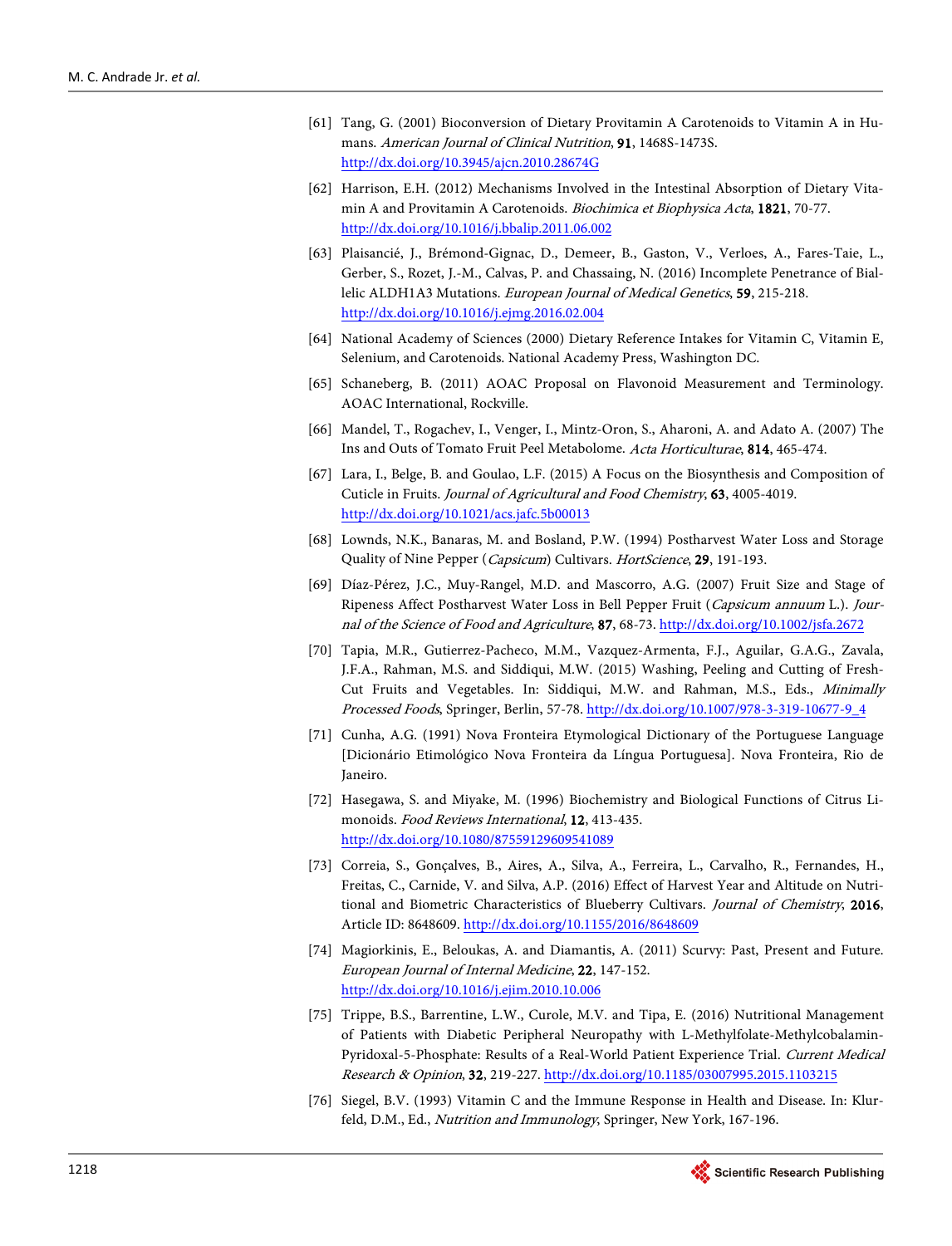- <span id="page-27-0"></span>[61] Tang, G. (2001) Bioconversion of Dietary Provitamin A Carotenoids to Vitamin A in Humans. American Journal of Clinical Nutrition, 91, 1468S-1473S. <http://dx.doi.org/10.3945/ajcn.2010.28674G>
- <span id="page-27-1"></span>[62] Harrison, E.H. (2012) Mechanisms Involved in the Intestinal Absorption of Dietary Vitamin A and Provitamin A Carotenoids. Biochimica et Biophysica Acta, 1821, 70-77. <http://dx.doi.org/10.1016/j.bbalip.2011.06.002>
- <span id="page-27-2"></span>[63] Plaisancié, J., Brémond-Gignac, D., Demeer, B., Gaston, V., Verloes, A., Fares-Taie, L., Gerber, S., Rozet, J.-M., Calvas, P. and Chassaing, N. (2016) Incomplete Penetrance of Biallelic ALDH1A3 Mutations. European Journal of Medical Genetics, 59, 215-218. <http://dx.doi.org/10.1016/j.ejmg.2016.02.004>
- <span id="page-27-3"></span>[64] National Academy of Sciences (2000) Dietary Reference Intakes for Vitamin C, Vitamin E, Selenium, and Carotenoids. National Academy Press, Washington DC.
- <span id="page-27-4"></span>[65] Schaneberg, B. (2011) AOAC Proposal on Flavonoid Measurement and Terminology. AOAC International, Rockville.
- <span id="page-27-5"></span>[66] Mandel, T., Rogachev, I., Venger, I., Mintz-Oron, S., Aharoni, A. and Adato A. (2007) The Ins and Outs of Tomato Fruit Peel Metabolome. Acta Horticulturae, 814, 465-474.
- <span id="page-27-6"></span>[67] Lara, I., Belge, B. and Goulao, L.F. (2015) A Focus on the Biosynthesis and Composition of Cuticle in Fruits. Journal of Agricultural and Food Chemistry, 63, 4005-4019. <http://dx.doi.org/10.1021/acs.jafc.5b00013>
- <span id="page-27-7"></span>[68] Lownds, N.K., Banaras, M. and Bosland, P.W. (1994) Postharvest Water Loss and Storage Quality of Nine Pepper (Capsicum) Cultivars. HortScience, 29, 191-193.
- <span id="page-27-8"></span>[69] Díaz-Pérez, J.C., Muy-Rangel, M.D. and Mascorro, A.G. (2007) Fruit Size and Stage of Ripeness Affect Postharvest Water Loss in Bell Pepper Fruit (Capsicum annuum L.). Journal of the Science of Food and Agriculture, 87, 68-73[. http://dx.doi.org/10.1002/jsfa.2672](http://dx.doi.org/10.1002/jsfa.2672)
- <span id="page-27-9"></span>[70] Tapia, M.R., Gutierrez-Pacheco, M.M., Vazquez-Armenta, F.J., Aguilar, G.A.G., Zavala, J.F.A., Rahman, M.S. and Siddiqui, M.W. (2015) Washing, Peeling and Cutting of Fresh-Cut Fruits and Vegetables. In: Siddiqui, M.W. and Rahman, M.S., Eds., Minimally Processed Foods, Springer, Berlin, 57-78[. http://dx.doi.org/10.1007/978-3-319-10677-9\\_4](http://dx.doi.org/10.1007/978-3-319-10677-9_4)
- <span id="page-27-10"></span>[71] Cunha, A.G. (1991) Nova Fronteira Etymological Dictionary of the Portuguese Language [Dicionário Etimológico Nova Fronteira da Língua Portuguesa]. Nova Fronteira, Rio de Janeiro.
- <span id="page-27-11"></span>[72] Hasegawa, S. and Miyake, M. (1996) Biochemistry and Biological Functions of Citrus Limonoids. Food Reviews International, 12, 413-435. <http://dx.doi.org/10.1080/87559129609541089>
- <span id="page-27-12"></span>[73] Correia, S., Gonçalves, B., Aires, A., Silva, A., Ferreira, L., Carvalho, R., Fernandes, H., Freitas, C., Carnide, V. and Silva, A.P. (2016) Effect of Harvest Year and Altitude on Nutritional and Biometric Characteristics of Blueberry Cultivars. Journal of Chemistry, 2016, Article ID: 8648609.<http://dx.doi.org/10.1155/2016/8648609>
- <span id="page-27-13"></span>[74] Magiorkinis, E., Beloukas, A. and Diamantis, A. (2011) Scurvy: Past, Present and Future. European Journal of Internal Medicine, 22, 147-152. <http://dx.doi.org/10.1016/j.ejim.2010.10.006>
- <span id="page-27-14"></span>[75] Trippe, B.S., Barrentine, L.W., Curole, M.V. and Tipa, E. (2016) Nutritional Management of Patients with Diabetic Peripheral Neuropathy with L-Methylfolate-Methylcobalamin-Pyridoxal-5-Phosphate: Results of a Real-World Patient Experience Trial. Current Medical Research & Opinion, 32, 219-227. <http://dx.doi.org/10.1185/03007995.2015.1103215>
- <span id="page-27-15"></span>[76] Siegel, B.V. (1993) Vitamin C and the Immune Response in Health and Disease. In: Klurfeld, D.M., Ed., Nutrition and Immunology, Springer, New York, 167-196.